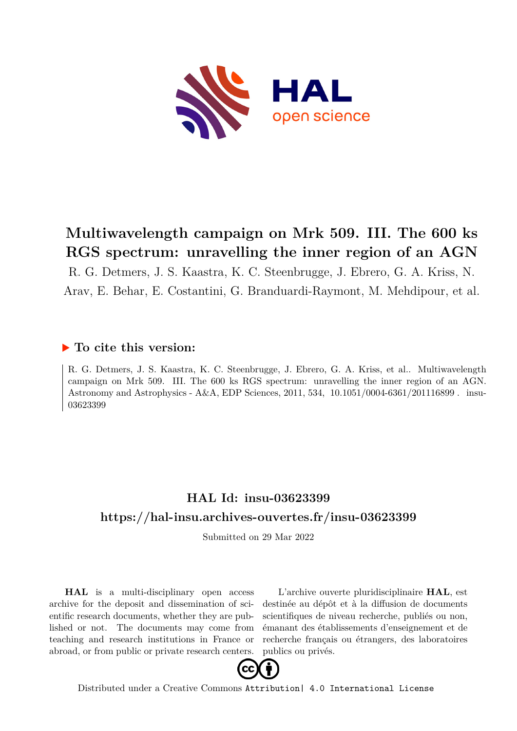

# **Multiwavelength campaign on Mrk 509. III. The 600 ks RGS spectrum: unravelling the inner region of an AGN**

R. G. Detmers, J. S. Kaastra, K. C. Steenbrugge, J. Ebrero, G. A. Kriss, N. Arav, E. Behar, E. Costantini, G. Branduardi-Raymont, M. Mehdipour, et al.

### **To cite this version:**

R. G. Detmers, J. S. Kaastra, K. C. Steenbrugge, J. Ebrero, G. A. Kriss, et al.. Multiwavelength campaign on Mrk 509. III. The 600 ks RGS spectrum: unravelling the inner region of an AGN. Astronomy and Astrophysics - A&A, EDP Sciences, 2011, 534,  $10.1051/0004-6361/201116899$ . insu-03623399ff

## **HAL Id: insu-03623399 <https://hal-insu.archives-ouvertes.fr/insu-03623399>**

Submitted on 29 Mar 2022

**HAL** is a multi-disciplinary open access archive for the deposit and dissemination of scientific research documents, whether they are published or not. The documents may come from teaching and research institutions in France or abroad, or from public or private research centers.

L'archive ouverte pluridisciplinaire **HAL**, est destinée au dépôt et à la diffusion de documents scientifiques de niveau recherche, publiés ou non, émanant des établissements d'enseignement et de recherche français ou étrangers, des laboratoires publics ou privés.



Distributed under a Creative Commons [Attribution| 4.0 International License](http://creativecommons.org/licenses/by/4.0/)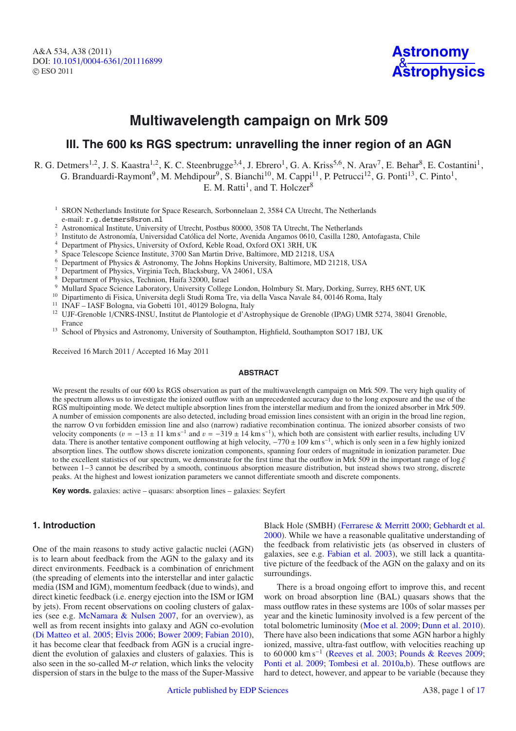A&A 534, A38 (2011) DOI: 10.1051/0004-6361/[201116899](http://dx.doi.org/10.1051/0004-6361/201116899) © ESO 2011



## **Multiwavelength campaign on Mrk 509**

### **III. The 600 ks RGS spectrum: unravelling the inner region of an AGN**

R. G. Detmers<sup>1,2</sup>, J. S. Kaastra<sup>1,2</sup>, K. C. Steenbrugge<sup>3,4</sup>, J. Ebrero<sup>1</sup>, G. A. Kriss<sup>5,6</sup>, N. Arav<sup>7</sup>, E. Behar<sup>8</sup>, E. Costantini<sup>1</sup>, G. Branduardi-Raymont<sup>9</sup>, M. Mehdipour<sup>9</sup>, S. Bianchi<sup>10</sup>, M. Cappi<sup>11</sup>, P. Petrucci<sup>12</sup>, G. Ponti<sup>13</sup>, C. Pinto<sup>1</sup>, E. M. Ratti<sup>1</sup>, and T. Holczer<sup>8</sup>

<sup>1</sup> SRON Netherlands Institute for Space Research, Sorbonnelaan 2, 3584 CA Utrecht, The Netherlands e-mail: r.g.detmers@sron.nl

- <sup>2</sup><br><sup>2</sup> Astronomical Institute, University of Utrecht, Postbus 80000, 3508 TA Utrecht, The Netherlands<br><sup>3</sup> Institute de Astronomíc Universided Cetálics del Nerte, Avenide Angemes 0610, Cesille 1280
- <sup>3</sup> Instituto de Astronomía, Universidad Católica del Norte, Avenida Angamos 0610, Casilla 1280, Antofagasta, Chile
- <sup>4</sup> Department of Physics, University of Oxford, Keble Road, Oxford OX1 3RH, UK
- <sup>5</sup> Space Telescope Science Institute, 3700 San Martin Drive, Baltimore, MD 21218, USA
- <sup>6</sup> Department of Physics & Astronomy, The Johns Hopkins University, Baltimore, MD 21218, USA
- <sup>7</sup> Department of Physics, Virginia Tech, Blacksburg, VA 24061, USA
- Department of Physics, Technion, Haifa 32000, Israel
- <sup>9</sup> Mullard Space Science Laboratory, University College London, Holmbury St. Mary, Dorking, Surrey, RH5 6NT, UK
- <sup>10</sup> Dipartimento di Fisica, Universita degli Studi Roma Tre, via della Vasca Navale 84, 00146 Roma, Italy
- <sup>11</sup> INAF IASF Bologna, via Gobetti 101, 40129 Bologna, Italy
- <sup>12</sup> UJF-Grenoble 1/CNRS-INSU, Institut de Plantologie et d'Astrophysique de Grenoble (IPAG) UMR 5274, 38041 Grenoble, France
- <sup>13</sup> School of Physics and Astronomy, University of Southampton, Highfield, Southampton SO17 1BJ, UK

Received 16 March 2011 / Accepted 16 May 2011

#### **ABSTRACT**

We present the results of our 600 ks RGS observation as part of the multiwavelength campaign on Mrk 509. The very high quality of the spectrum allows us to investigate the ionized outflow with an unprecedented accuracy due to the long exposure and the use of the RGS multipointing mode. We detect multiple absorption lines from the interstellar medium and from the ionized absorber in Mrk 509. A number of emission components are also detected, including broad emission lines consistent with an origin in the broad line region, the narrow O vii forbidden emission line and also (narrow) radiative recombination continua. The ionized absorber consists of two velocity components ( $v = -13 \pm 11$  km s<sup>-1</sup> and  $v = -319 \pm 14$  km s<sup>-1</sup>), which both are consistent with earlier results, including UV data. There is another tentative component outflowing at high velocity, −770 ± 109 km s−1, which is only seen in a few highly ionized absorption lines. The outflow shows discrete ionization components, spanning four orders of magnitude in ionization parameter. Due to the excellent statistics of our spectrum, we demonstrate for the first time that the outflow in Mrk 509 in the important range of log  $\xi$ between 1−3 cannot be described by a smooth, continuous absorption measure distribution, but instead shows two strong, discrete peaks. At the highest and lowest ionization parameters we cannot differentiate smooth and discrete components.

**Key words.** galaxies: active – quasars: absorption lines – galaxies: Seyfert

#### **1. Introduction**

One of the main reasons to study active galactic nuclei (AGN) is to learn about feedback from the AGN to the galaxy and its direct environments. Feedback is a combination of enrichment (the spreading of elements into the interstellar and inter galactic media (ISM and IGM), momentum feedback (due to winds), and direct kinetic feedback (i.e. energy ejection into the ISM or IGM by jets). From recent observations on cooling clusters of galaxies (see e.g. McNamara & Nulsen 2007, for an overview), as well as from recent insights into galaxy and AGN co-evolution (Di Matteo et al. 2005; Elvis 2006; Bower 2009; Fabian 2010), it has become clear that feedback from AGN is a crucial ingredient the evolution of galaxies and clusters of galaxies. This is also seen in the so-called M- $\sigma$  relation, which links the velocity dispersion of stars in the bulge to the mass of the Super-Massive

Black Hole (SMBH) (Ferrarese & Merritt 2000; Gebhardt et al. 2000). While we have a reasonable qualitative understanding of the feedback from relativistic jets (as observed in clusters of galaxies, see e.g. Fabian et al. 2003), we still lack a quantitative picture of the feedback of the AGN on the galaxy and on its surroundings.

There is a broad ongoing effort to improve this, and recent work on broad absorption line (BAL) quasars shows that the mass outflow rates in these systems are 100s of solar masses per year and the kinetic luminosity involved is a few percent of the total bolometric luminosity (Moe et al. 2009; Dunn et al. 2010). There have also been indications that some AGN harbor a highly ionized, massive, ultra-fast outflow, with velocities reaching up to 60 000 km s−<sup>1</sup> (Reeves et al. 2003; Pounds & Reeves 2009; Ponti et al. 2009; Tombesi et al. 2010a,b). These outflows are hard to detect, however, and appear to be variable (because they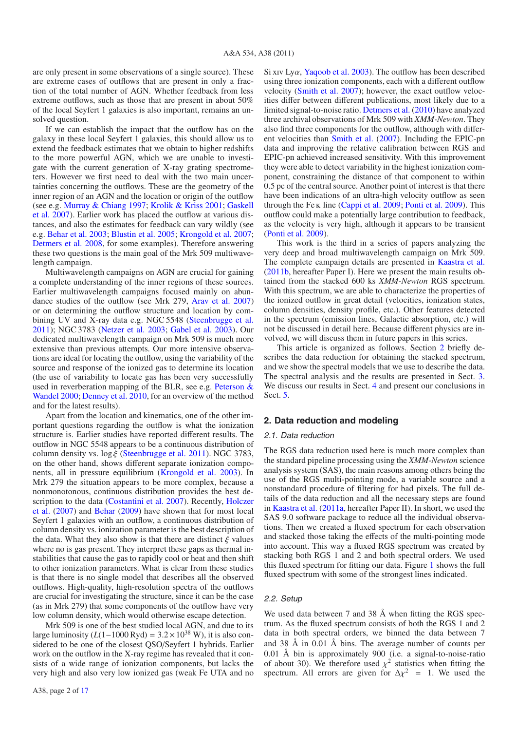are only present in some observations of a single source). These are extreme cases of outflows that are present in only a fraction of the total number of AGN. Whether feedback from less extreme outflows, such as those that are present in about 50% of the local Seyfert 1 galaxies is also important, remains an unsolved question.

If we can establish the impact that the outflow has on the galaxy in these local Seyfert 1 galaxies, this should allow us to extend the feedback estimates that we obtain to higher redshifts to the more powerful AGN, which we are unable to investigate with the current generation of X-ray grating spectrometers. However we first need to deal with the two main uncertainties concerning the outflows. These are the geometry of the inner region of an AGN and the location or origin of the outflow (see e.g. Murray & Chiang 1997; Krolik & Kriss 2001; Gaskell et al. 2007). Earlier work has placed the outflow at various distances, and also the estimates for feedback can vary wildly (see e.g. Behar et al. 2003; Blustin et al. 2005; Krongold et al. 2007; Detmers et al. 2008, for some examples). Therefore answering these two questions is the main goal of the Mrk 509 multiwavelength campaign.

Multiwavelength campaigns on AGN are crucial for gaining a complete understanding of the inner regions of these sources. Earlier multiwavelength campaigns focused mainly on abundance studies of the outflow (see Mrk 279, Arav et al. 2007) or on determining the outflow structure and location by combining UV and X-ray data e.g. NGC 5548 (Steenbrugge et al. 2011); NGC 3783 (Netzer et al. 2003; Gabel et al. 2003). Our dedicated multiwavelength campaign on Mrk 509 is much more extensive than previous attempts. Our more intensive observations are ideal for locating the outflow, using the variability of the source and response of the ionized gas to determine its location (the use of variability to locate gas has been very successfully used in reverberation mapping of the BLR, see e.g. Peterson & Wandel 2000; Denney et al. 2010, for an overview of the method and for the latest results).

Apart from the location and kinematics, one of the other important questions regarding the outflow is what the ionization structure is. Earlier studies have reported different results. The outflow in NGC 5548 appears to be a continuous distribution of column density vs.  $\log \xi$  (Steenbrugge et al. 2011). NGC 3783, on the other hand, shows different separate ionization components, all in pressure equilibrium (Krongold et al. 2003). In Mrk 279 the situation appears to be more complex, because a nonmonotonous, continuous distribution provides the best description to the data (Costantini et al. 2007). Recently, Holczer et al. (2007) and Behar (2009) have shown that for most local Seyfert 1 galaxies with an outflow, a continuous distribution of column density vs. ionization parameter is the best description of the data. What they also show is that there are distinct  $\xi$  values where no is gas present. They interpret these gaps as thermal instabilities that cause the gas to rapidly cool or heat and then shift to other ionization parameters. What is clear from these studies is that there is no single model that describes all the observed outflows. High-quality, high-resolution spectra of the outflows are crucial for investigating the structure, since it can be the case (as in Mrk 279) that some components of the outflow have very low column density, which would otherwise escape detection.

Mrk 509 is one of the best studied local AGN, and due to its large luminosity  $(L(1-1000 \text{ Ryd}) = 3.2 \times 10^{38} \text{ W})$ , it is also considered to be one of the closest QSO/Seyfert 1 hybrids. Earlier work on the outflow in the X-ray regime has revealed that it consists of a wide range of ionization components, but lacks the very high and also very low ionized gas (weak Fe UTA and no Si xiv Lya, Yaqoob et al. 2003). The outflow has been described using three ionization components, each with a different outflow velocity (Smith et al. 2007); however, the exact outflow velocities differ between different publications, most likely due to a limited signal-to-noise ratio. Detmers et al. (2010) have analyzed three archival observations of Mrk 509 with *XMM-Newton*. They also find three components for the outflow, although with different velocities than Smith et al. (2007). Including the EPIC-pn data and improving the relative calibration between RGS and EPIC-pn achieved increased sensitivity. With this improvement they were able to detect variability in the highest ionization component, constraining the distance of that component to within 0.5 pc of the central source. Another point of interest is that there have been indications of an ultra-high velocity outflow as seen through the Fe k line (Cappi et al. 2009; Ponti et al. 2009). This outflow could make a potentially large contribution to feedback, as the velocity is very high, although it appears to be transient (Ponti et al. 2009).

This work is the third in a series of papers analyzing the very deep and broad multiwavelength campaign on Mrk 509. The complete campaign details are presented in Kaastra et al. (2011b, hereafter Paper I). Here we present the main results obtained from the stacked 600 ks *XMM-Newton* RGS spectrum. With this spectrum, we are able to characterize the properties of the ionized outflow in great detail (velocities, ionization states, column densities, density profile, etc.). Other features detected in the spectrum (emission lines, Galactic absorption, etc.) will not be discussed in detail here. Because different physics are involved, we will discuss them in future papers in this series.

This article is organized as follows. Section 2 briefly describes the data reduction for obtaining the stacked spectrum, and we show the spectral models that we use to describe the data. The spectral analysis and the results are presented in Sect. 3. We discuss our results in Sect. 4 and present our conclusions in Sect. 5.

#### **2. Data reduction and modeling**

#### 2.1. Data reduction

The RGS data reduction used here is much more complex than the standard pipeline processing using the *XMM-Newton* science analysis system (SAS), the main reasons among others being the use of the RGS multi-pointing mode, a variable source and a nonstandard procedure of filtering for bad pixels. The full details of the data reduction and all the necessary steps are found in Kaastra et al. (2011a, hereafter Paper II). In short, we used the SAS 9.0 software package to reduce all the individual observations. Then we created a fluxed spectrum for each observation and stacked those taking the effects of the multi-pointing mode into account. This way a fluxed RGS spectrum was created by stacking both RGS 1 and 2 and both spectral orders. We used this fluxed spectrum for fitting our data. Figure 1 shows the full fluxed spectrum with some of the strongest lines indicated.

#### 2.2. Setup

We used data between 7 and 38  $\AA$  when fitting the RGS spectrum. As the fluxed spectrum consists of both the RGS 1 and 2 data in both spectral orders, we binned the data between 7 and 38 Å in 0.01 Å bins. The average number of counts per 0.01 Å bin is approximately 900 (i.e. a signal-to-noise-ratio of about 30). We therefore used  $\chi^2$  statistics when fitting the spectrum. All errors are given for  $\Delta v^2 = 1$ . We used the spectrum. All errors are given for  $\Delta \chi^2 = 1$ . We used the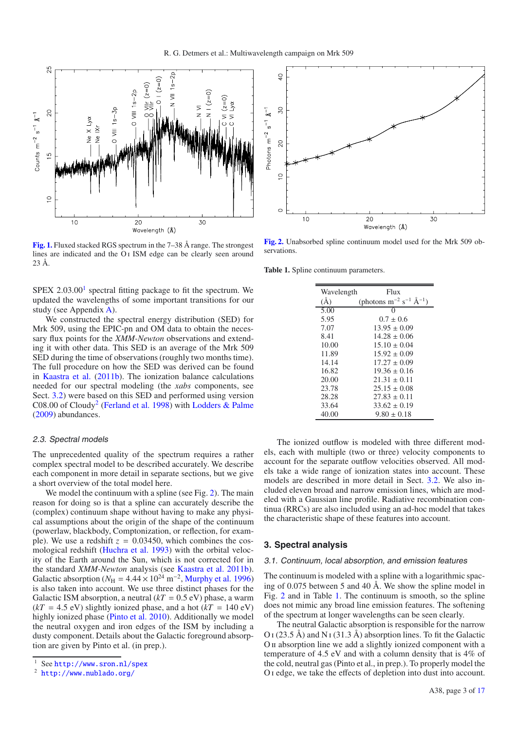

**[Fig. 1.](http://dexter.edpsciences.org/applet.php?DOI=10.1051/0004-6361/201116899&pdf_id=1)** Fluxed stacked RGS spectrum in the 7–38 Å range. The strongest lines are indicated and the O<sub>I</sub> ISM edge can be clearly seen around 23 Å.

 $SPEX$  2.03.00<sup>1</sup> spectral fitting package to fit the spectrum. We updated the wavelengths of some important transitions for our study (see Appendix A).

We constructed the spectral energy distribution (SED) for Mrk 509, using the EPIC-pn and OM data to obtain the necessary flux points for the *XMM-Newton* observations and extending it with other data. This SED is an average of the Mrk 509 SED during the time of observations (roughly two months time). The full procedure on how the SED was derived can be found in Kaastra et al. (2011b). The ionization balance calculations needed for our spectral modeling (the *xabs* components, see Sect. 3.2) were based on this SED and performed using version C08.00 of Cloudy<sup>2</sup> (Ferland et al. 1998) with Lodders & Palme (2009) abundances.

#### 2.3. Spectral models

The unprecedented quality of the spectrum requires a rather complex spectral model to be described accurately. We describe each component in more detail in separate sections, but we give a short overview of the total model here.

We model the continuum with a spline (see Fig. 2). The main reason for doing so is that a spline can accurately describe the (complex) continuum shape without having to make any physical assumptions about the origin of the shape of the continuum (powerlaw, blackbody, Comptonization, or reflection, for example). We use a redshift  $z = 0.03450$ , which combines the cosmological redshift (Huchra et al. 1993) with the orbital velocity of the Earth around the Sun, which is not corrected for in the standard *XMM-Newton* analysis (see Kaastra et al. 2011b). Galactic absorption ( $N_{\text{H}} = 4.44 \times 10^{24} \text{ m}^{-2}$ , Murphy et al. 1996) is also taken into account. We use three distinct phases for the Galactic ISM absorption, a neutral  $(kT = 0.5 \text{ eV})$  phase, a warm  $(kT = 4.5$  eV) slightly ionized phase, and a hot  $(kT = 140$  eV) highly ionized phase (Pinto et al. 2010). Additionally we model the neutral oxygen and iron edges of the ISM by including a dusty component. Details about the Galactic foreground absorption are given by Pinto et al. (in prep.).



<sup>2</sup> <http://www.nublado.org/>



**[Fig. 2.](http://dexter.edpsciences.org/applet.php?DOI=10.1051/0004-6361/201116899&pdf_id=2)** Unabsorbed spline continuum model used for the Mrk 509 observations.

**Table 1.** Spline continuum parameters.

| Wavelength | Flux                                           |
|------------|------------------------------------------------|
| $\rm(\AA)$ | (photons $m^{-2}$ s <sup>-1</sup> $\AA^{-1}$ ) |
| 5.00       | $\theta$                                       |
| 5.95       | $0.7 \pm 0.6$                                  |
| 7.07       | $13.95 + 0.09$                                 |
| 8.41       | $14.28 \pm 0.06$                               |
| 10.00      | $15.10 + 0.04$                                 |
| 11.89      | $15.92 \pm 0.09$                               |
| 14.14      | $17.27 + 0.09$                                 |
| 16.82      | $19.36 \pm 0.16$                               |
| 20.00      | $21.31 \pm 0.11$                               |
| 23.78      | $25.15 \pm 0.08$                               |
| 28.28      | $27.83 + 0.11$                                 |
| 33.64      | $33.62 \pm 0.19$                               |
| 40.00      | $9.80 \pm 0.18$                                |

The ionized outflow is modeled with three different models, each with multiple (two or three) velocity components to account for the separate outflow velocities observed. All models take a wide range of ionization states into account. These models are described in more detail in Sect. 3.2. We also included eleven broad and narrow emission lines, which are modeled with a Gaussian line profile. Radiative recombination continua (RRCs) are also included using an ad-hoc model that takes the characteristic shape of these features into account.

#### **3. Spectral analysis**

#### 3.1. Continuum, local absorption, and emission features

The continuum is modeled with a spline with a logarithmic spacing of 0.075 between 5 and 40 Å. We show the spline model in Fig. 2 and in Table 1. The continuum is smooth, so the spline does not mimic any broad line emission features. The softening of the spectrum at longer wavelengths can be seen clearly.

The neutral Galactic absorption is responsible for the narrow  $O I (23.5 \text{ Å})$  and N<sub>I</sub> (31.3 Å) absorption lines. To fit the Galactic O ii absorption line we add a slightly ionized component with a temperature of 4.5 eV and with a column density that is 4% of the cold, neutral gas (Pinto et al., in prep.). To properly model the O i edge, we take the effects of depletion into dust into account.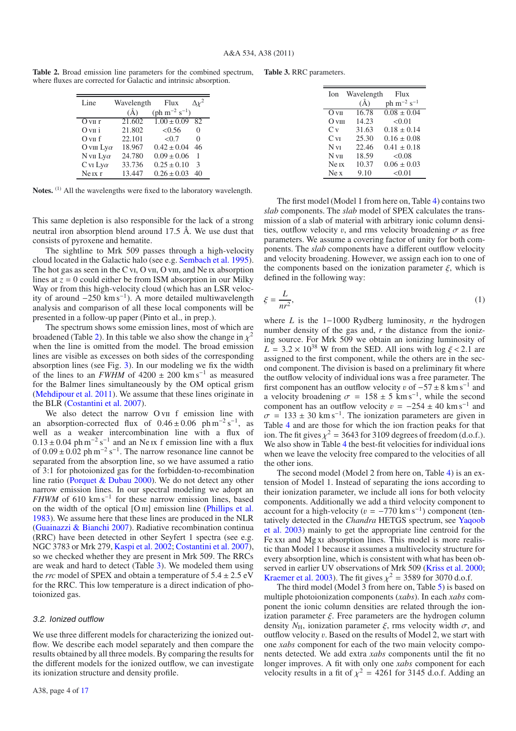**Table 2.** Broad emission line parameters for the combined spectrum, where fluxes are corrected for Galactic and intrinsic absorption.

| Line                    | Wavelength    | Flux                                        |                   |
|-------------------------|---------------|---------------------------------------------|-------------------|
|                         | $(\check{A})$ | $(\text{ph} \text{ m}^{-2} \text{ s}^{-1})$ |                   |
| $Q$ v <sub>II</sub> $r$ | 21.602        | $1.00 \pm 0.09$                             | 82.               |
| $Q$ v <sub>II</sub> i   | 21.802        | < 0.56                                      | $\mathbf{\Omega}$ |
| $Q$ v <sub>II</sub> f   | 22.101        | < 0.7                                       | 0                 |
| O viii $Ly\alpha$       | 18.967        | $0.42 \pm 0.04$                             | 46                |
| N vii $Ly\alpha$        | 24.780        | $0.09 \pm 0.06$                             | 1                 |
| $C$ vi Ly $\alpha$      | 33.736        | $0.25 \pm 0.10$                             | 3                 |
| $Ne$ $IX$ $r$           | 13.447        | $0.26 \pm 0.03$                             | 40                |

Notes.<sup>(1)</sup> All the wavelengths were fixed to the laboratory wavelength.

This same depletion is also responsible for the lack of a strong neutral iron absorption blend around 17.5 Å. We use dust that consists of pyroxene and hematite.

The sightline to Mrk 509 passes through a high-velocity cloud located in the Galactic halo (see e.g. Sembach et al. 1995). The hot gas as seen in the C vi, O vii, O viii, and Ne ix absorption lines at  $z = 0$  could either be from ISM absorption in our Milky Way or from this high-velocity cloud (which has an LSR velocity of around  $-250$  km s<sup>-1</sup>). A more detailed multiwavelength analysis and comparison of all these local components will be presented in a follow-up paper (Pinto et al., in prep.).

The spectrum shows some emission lines, most of which are broadened (Table 2). In this table we also show the change in  $\chi^2$ when the line is omitted from the model. The broad emission lines are visible as excesses on both sides of the corresponding absorption lines (see Fig. 3). In our modeling we fix the width of the lines to an  $FWHM$  of 4200  $\pm$  200 km s<sup>-1</sup> as measured for the Balmer lines simultaneously by the OM optical grism (Mehdipour et al. 2011). We assume that these lines originate in the BLR (Costantini et al. 2007).

We also detect the narrow O v<sub>II</sub> f emission line with an absorption-corrected flux of  $0.46 \pm 0.06$  ph m<sup>-2</sup> s<sup>-1</sup>, as well as a weaker intercombination line with a flux of  $0.13 \pm 0.04$  ph m<sup>-2</sup> s<sup>-1</sup> and an Ne ix f emission line with a flux of  $0.09 \pm 0.02$  ph m<sup>-2</sup> s<sup>-1</sup>. The narrow resonance line cannot be separated from the absorption line, so we have assumed a ratio of 3:1 for photoionized gas for the forbidden-to-recombination line ratio (Porquet & Dubau 2000). We do not detect any other narrow emission lines. In our spectral modeling we adopt an *FHWM* of 610 km s<sup> $-1$ </sup> for these narrow emission lines, based on the width of the optical  $[O \text{III}]$  emission line (Phillips et al. 1983). We assume here that these lines are produced in the NLR (Guainazzi & Bianchi 2007). Radiative recombination continua (RRC) have been detected in other Seyfert 1 spectra (see e.g. NGC 3783 or Mrk 279, Kaspi et al. 2002; Costantini et al. 2007), so we checked whether they are present in Mrk 509. The RRCs are weak and hard to detect (Table 3). We modeled them using the *rrc* model of SPEX and obtain a temperature of  $5.4 \pm 2.5$  eV for the RRC. This low temperature is a direct indication of photoionized gas.

#### 3.2. Ionized outflow

We use three different models for characterizing the ionized outflow. We describe each model separately and then compare the results obtained by all three models. By comparing the results for the different models for the ionized outflow, we can investigate its ionization structure and density profile.

|  | <b>Table 3. RRC</b> parameters. |
|--|---------------------------------|
|--|---------------------------------|

| Ion              | Wavelength | Flux                            |
|------------------|------------|---------------------------------|
|                  | $\rm(\AA)$ | ph $\rm m^{-2}$ s <sup>-1</sup> |
| $O$ vii          | 16.78      | $0.08 \pm 0.04$                 |
| $O$ viii         | 14.23      | < 0.01                          |
| $C_{V}$          | 31.63      | $0.18 + 0.14$                   |
| $C_{\rm VI}$     | 25.30      | $0.16 + 0.08$                   |
| N VI             | 22.46      | $0.41 \pm 0.18$                 |
| $N_{VII}$        | 18.59      | < 0.08                          |
| Ne <sub>IX</sub> | 10.37      | $0.06 \pm 0.03$                 |
| Ne x             | 9.10       | < 0.01                          |

The first model (Model 1 from here on, Table 4) contains two *slab* components. The *slab* model of SPEX calculates the transmission of a slab of material with arbitrary ionic column densities, outflow velocity v, and rms velocity broadening  $\sigma$  as free parameters. We assume a covering factor of unity for both components. The *slab* components have a different outflow velocity and velocity broadening. However, we assign each ion to one of the components based on the ionization parameter  $\xi$ , which is defined in the following way:

$$
\xi = \frac{L}{nr^2},\tag{1}
$$

where *L* is the 1−1000 Rydberg luminosity, *n* the hydrogen number density of the gas and, *r* the distance from the ionizing source. For Mrk 509 we obtain an ionizing luminosity of  $L = 3.2 \times 10^{38}$  W from the SED. All ions with log  $\xi < 2.1$  are assigned to the first component, while the others are in the second component. The division is based on a preliminary fit where the outflow velocity of individual ions was a free parameter. The first component has an outflow velocity v of  $-57 \pm 8$  km s<sup>-1</sup> and a velocity broadening  $\sigma = 158 \pm 5 \text{ km s}^{-1}$ , while the second component has an outflow velocity  $v = -254 \pm 40$  km s<sup>-1</sup> and  $\sigma = 133 \pm 30$  km s<sup>-1</sup>. The ionization parameters are given in Table 4 and are those for which the ion fraction peaks for that ion. The fit gives  $\chi^2 = 3643$  for 3109 degrees of freedom (d.o.f.). We also show in Table 4 the best-fit velocities for individual ions when we leave the velocity free compared to the velocities of all the other ions.

The second model (Model 2 from here on, Table 4) is an extension of Model 1. Instead of separating the ions according to their ionization parameter, we include all ions for both velocity components. Additionally we add a third velocity component to account for a high-velocity ( $v = -770 \text{ km s}^{-1}$ ) component (tentatively detected in the *Chandra* HETGS spectrum, see Yaqoob et al. 2003) mainly to get the appropriate line centroid for the Fe xxi and Mg xi absorption lines. This model is more realistic than Model 1 because it assumes a multivelocity structure for every absorption line, which is consistent with what has been observed in earlier UV observations of Mrk 509 (Kriss et al. 2000; Kraemer et al. 2003). The fit gives  $\chi^2 = 3589$  for 3070 d.o.f.

The third model (Model 3 from here on, Table 5) is based on multiple photoionization components (*xabs*). In each *xabs* component the ionic column densities are related through the ionization parameter  $\xi$ . Free parameters are the hydrogen column density  $N_{\rm H}$ , ionization parameter  $\xi$ , rms velocity width  $\sigma$ , and outflow velocity v. Based on the results of Model 2, we start with one *xabs* component for each of the two main velocity components detected. We add extra *xabs* components until the fit no longer improves. A fit with only one *xabs* component for each velocity results in a fit of  $\chi^2$  = 4261 for 3145 d.o.f. Adding an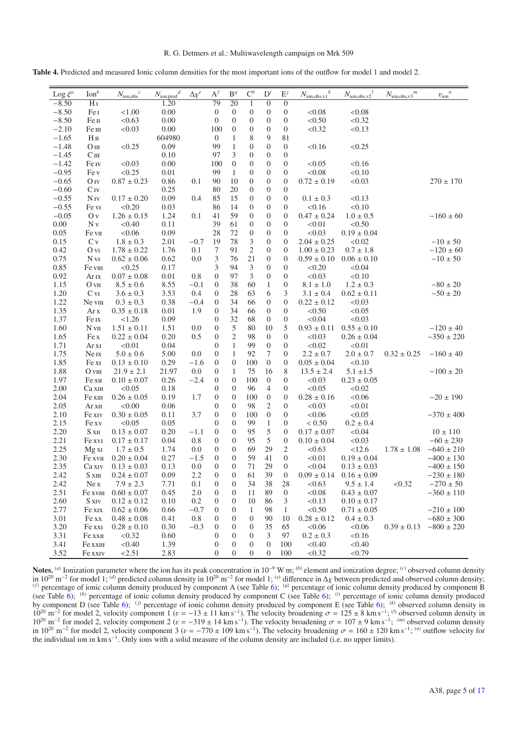**Table 4.** Predicted and measured Ionic column densities for the most important ions of the outflow for model 1 and model 2.

| 79<br>$-8.50$<br>20<br>$\overline{0}$<br>1.20<br>1<br>$\overline{0}$<br>H <sub>I</sub><br>0.00<br>$-8.50$<br>$\boldsymbol{0}$<br>$\boldsymbol{0}$<br>$\boldsymbol{0}$<br>$\boldsymbol{0}$<br>$\boldsymbol{0}$<br>< 0.08<br>< 0.08<br>Fe I<br>< 1.00<br>0.00<br>< 0.50<br>$-8.50$<br>< 0.63<br>$\boldsymbol{0}$<br>$\boldsymbol{0}$<br>$\boldsymbol{0}$<br>$\boldsymbol{0}$<br>< 0.32<br>Fe п<br>0<br>$-2.10$<br>< 0.03<br>0.00<br>$\boldsymbol{0}$<br>$\boldsymbol{0}$<br>$\boldsymbol{0}$<br>< 0.32<br>< 0.13<br>Fe III<br>100<br>0<br>$-1.65$<br>604980<br>$\boldsymbol{0}$<br>8<br>9<br>81<br>H <sub>II</sub><br>1<br>$\mathbf{1}$<br>$\boldsymbol{0}$<br>$-1.48$<br>< 0.25<br>0.09<br>99<br>$\boldsymbol{0}$<br>$\boldsymbol{0}$<br>< 0.16<br>< 0.25<br>O <sub>III</sub><br>3<br>$-1.45$<br>97<br>$\boldsymbol{0}$<br>$\boldsymbol{0}$<br>C <sub>III</sub><br>0.10<br>$\boldsymbol{0}$<br>$\boldsymbol{0}$<br>$-1.42$<br>< 0.03<br>0.00<br>100<br>$\boldsymbol{0}$<br>$\boldsymbol{0}$<br>$\boldsymbol{0}$<br>< 0.05<br>< 0.16<br>Fe iv<br>$-0.95$<br>< 0.25<br>$0.01\,$<br>99<br>1<br>$\boldsymbol{0}$<br>$\boldsymbol{0}$<br>$\boldsymbol{0}$<br>< 0.08<br>< 0.10<br>Fe v<br>$-0.65$<br>$0.87 \pm 0.23$<br>0.1<br>90<br>10<br>$\boldsymbol{0}$<br>$\boldsymbol{0}$<br>$\boldsymbol{0}$<br>$0.72 \pm 0.19$<br>< 0.03<br>$270 \pm 170$<br>O <sub>IV</sub><br>0.86<br>$-0.60$<br>0.25<br>80<br>20<br>$\boldsymbol{0}$<br>$\boldsymbol{0}$<br>$\boldsymbol{0}$<br>$C_{IV}$<br>15<br>$\boldsymbol{0}$<br>$-0.55$<br>$N_{IV}$<br>$0.17 \pm 0.20$<br>0.09<br>0.4<br>85<br>$\boldsymbol{0}$<br>$\boldsymbol{0}$<br>$0.1\pm0.3$<br>< 0.13<br>$-0.55$<br>< 0.20<br>86<br>14<br>$\boldsymbol{0}$<br>$\boldsymbol{0}$<br>< 0.16<br>0.03<br>$\mathbf{0}$<br>< 0.10<br>Fe vi<br>$-0.05$<br>$1.26 \pm 0.15$<br>1.24<br>0.1<br>59<br>$\boldsymbol{0}$<br>$\boldsymbol{0}$<br>$\boldsymbol{0}$<br>$0.47 \pm 0.24$<br>$-160 \pm 60$<br>41<br>$1.0 \pm 0.5$<br>0 y<br>$0.00\,$<br>Nv<br>< 0.40<br>0.11<br>39<br>61<br>$\boldsymbol{0}$<br>$\boldsymbol{0}$<br>$\boldsymbol{0}$<br>< 0.01<br>< 0.50<br>< 0.06<br>72<br>$\boldsymbol{0}$<br>0.05<br>0.09<br>28<br>$\boldsymbol{0}$<br>< 0.03<br>$0.19 \pm 0.04$<br>Fe vii<br>$\mathbf{0}$<br>78<br>$\ensuremath{\mathfrak{Z}}$<br>0.15<br>$1.8 \pm 0.3$<br>2.01<br>$-0.7$<br>19<br>$\boldsymbol{0}$<br>$\boldsymbol{0}$<br>< 0.02<br>$-10 \pm 50$<br>Cv<br>$2.04 \pm 0.25$<br>$\overline{c}$<br>0.42<br>1.76<br>7<br>91<br>$\boldsymbol{0}$<br>$0.7 \pm 1.8$<br>$-120 \pm 60$<br>O v <sub>I</sub><br>$1.78 \pm 0.22$<br>0.1<br>$\boldsymbol{0}$<br>$1.00 \pm 0.23$<br>3<br>21<br>0.75<br>$0.62 \pm 0.06$<br>76<br>$\boldsymbol{0}$<br>$\boldsymbol{0}$<br>$N_{VI}$<br>0.62<br>0.0<br>$0.59 \pm 0.10$<br>$0.06 \pm 0.10$<br>$-10 \pm 50$<br>3<br>0.85<br>< 0.25<br>0.17<br>94<br>3<br>$\boldsymbol{0}$<br>Fe viii<br>$\boldsymbol{0}$<br>< 0.20<br>< 0.04<br>3<br>< 0.03<br>0.92<br>$0.07\pm0.08$<br>$0.01\,$<br>$\boldsymbol{0}$<br>97<br>$\boldsymbol{0}$<br>< 0.10<br>Ar <sub>IX</sub><br>0.8<br>$\boldsymbol{0}$<br>1.15<br>$8.5\pm0.6$<br>8.55<br>$-0.1$<br>38<br>60<br>$\mathbf{1}$<br>$-80 \pm 20$<br>$\boldsymbol{0}$<br>$\boldsymbol{0}$<br>$8.1\pm1.0$<br>$1.2 \pm 0.3$<br>O <sub>VII</sub><br>1.20<br>$3.6\pm0.3$<br>3.53<br>6<br>3<br>$0.62 \pm 0.11$<br>$-50 \pm 20$<br>$C_{VI}$<br>0.4<br>$\boldsymbol{0}$<br>28<br>63<br>$3.1 \pm 0.4$<br>1.22<br>0.38<br>$\boldsymbol{0}$<br>34<br>$\boldsymbol{0}$<br>$\boldsymbol{0}$<br>$0.22 \pm 0.12$<br>Ne viii<br>$0.3 \pm 0.3$<br>$-0.4$<br>66<br>< 0.03<br>1.35<br>$0.01\,$<br>1.9<br>$\boldsymbol{0}$<br>34<br>$\boldsymbol{0}$<br>< 0.50<br>< 0.05<br>Ar x<br>$0.35 \pm 0.18$<br>66<br>$\mathbf{0}$<br>1.37<br>< 1.26<br>0.09<br>$\boldsymbol{0}$<br>32<br>$\boldsymbol{0}$<br>< 0.04<br>< 0.03<br>Fe Ix<br>68<br>$\boldsymbol{0}$<br>5<br>1.60<br>$1.51 \pm 0.11$<br>1.51<br>80<br>10<br>5<br>$0.55 \pm 0.10$<br>$-120 \pm 40$<br>$N \nu$ II<br>0.0<br>$\boldsymbol{0}$<br>$0.93 \pm 0.11$<br>$\sqrt{2}$<br>1.65<br>$0.22 \pm 0.04$<br>0.20<br>0.5<br>$\boldsymbol{0}$<br>98<br>$\boldsymbol{0}$<br>$\boldsymbol{0}$<br>< 0.03<br>$0.26 \pm 0.04$<br>$-350 \pm 220$<br>Fe x<br>1<br>99<br>$\boldsymbol{0}$<br>1.71<br>< 0.01<br>0.04<br>$\mathbf{0}$<br>$\mathbf{0}$<br>< 0.02<br>< 0.01<br>Ar xi<br>1.75<br>$5.0\pm0.6$<br>5.00<br>$\boldsymbol{0}$<br>$\mathbf{1}$<br>7<br>$2.0 \pm 0.7$<br>Ne <sub>IX</sub><br>0.0<br>92<br>$\boldsymbol{0}$<br>$2.2 \pm 0.7$<br>$0.32 \pm 0.25$<br>$-160 \pm 40$<br>$\boldsymbol{0}$<br>1.85<br>0.29<br>$\boldsymbol{0}$<br>100<br>$\boldsymbol{0}$<br>< 0.10<br>Fe xi<br>$0.13 \pm 0.10$<br>$-1.6$<br>$\boldsymbol{0}$<br>$0.05 \pm 0.04$<br>1.88<br>16<br>8<br>$O$ vIII<br>$21.9 \pm 2.1$<br>21.97<br>0.0<br>$\boldsymbol{0}$<br>1<br>75<br>$13.5 \pm 2.4$<br>$5.1 \pm 1.5$<br>$-100 \pm 20$<br>$\boldsymbol{0}$<br>$\boldsymbol{0}$<br>1.97<br>0.26<br>$-2.4$<br>$\boldsymbol{0}$<br>100<br>$\boldsymbol{0}$<br>< 0.03<br>$0.23 \pm 0.05$<br>Fe xII<br>$0.10 \pm 0.07$<br>2.00<br>< 0.05<br>0.18<br>$\boldsymbol{0}$<br>$\boldsymbol{0}$<br>96<br>4<br>< 0.05<br>< 0.02<br>Ca <sub>XIII</sub><br>$\boldsymbol{0}$<br>2.04<br>$0.26 \pm 0.05$<br>1.7<br>$\boldsymbol{0}$<br>$\boldsymbol{0}$<br>$\boldsymbol{0}$<br>$0.28 \pm 0.16$<br>$-20 \pm 190$<br>Fe xii<br>0.19<br>$\boldsymbol{0}$<br>100<br>< 0.06<br>2.05<br>< 0.00<br>0.06<br>$\boldsymbol{0}$<br>$\boldsymbol{0}$<br>98<br>2<br>< 0.03<br>< 0.01<br>$\boldsymbol{0}$<br>Ar xii<br>< 0.05<br>2.10<br>$0.30 \pm 0.05$<br>0.11<br>3.7<br>$\boldsymbol{0}$<br>$\boldsymbol{0}$<br>100<br>$\boldsymbol{0}$<br>< 0.06<br>$-370 \pm 400$<br>Fe xiv<br>$\mathbf{0}$<br>2.15<br>$\boldsymbol{0}$<br>99<br>< 0.05<br>0.05<br>$\boldsymbol{0}$<br>$\mathbf{1}$<br>$\boldsymbol{0}$<br>< 0.50<br>$0.2 \pm 0.4$<br>Fe xv<br>2.20<br>5<br>$0.13 \pm 0.07$<br>0.20<br>$-1.1$<br>$\boldsymbol{0}$<br>95<br>$\boldsymbol{0}$<br>$0.17 \pm 0.07$<br>< 0.04<br>$S \times II$<br>$\boldsymbol{0}$<br>$10 \pm 110$<br>5<br>2.21<br>$0.17 \pm 0.17$<br>0.04<br>0.8<br>$\boldsymbol{0}$<br>$\boldsymbol{0}$<br>95<br>$\boldsymbol{0}$<br>$0.10 \pm 0.04$<br>< 0.03<br>$-60 \pm 230$<br>Fe xvi<br>2.25<br>$\boldsymbol{0}$<br>69<br>29<br>2<br>< 12.6<br>Mg xI<br>$1.7 \pm 0.5$<br>1.74<br>$\boldsymbol{0}$<br><0.63<br>$1.78 \pm 1.08$<br>$-640 \pm 210$<br>0.0<br>2.30<br>0.27<br>$-1.5$<br>$\boldsymbol{0}$<br>$\boldsymbol{0}$<br>59<br>41<br>$\boldsymbol{0}$<br>< 0.01<br>$0.19 \pm 0.04$<br>Fe xvII<br>$0.20 \pm 0.04$<br>$-400 \pm 130$<br>$\boldsymbol{0}$<br>29<br>2.35<br>0.13<br>0.0<br>$\boldsymbol{0}$<br>71<br>$\boldsymbol{0}$<br>< 0.04<br>$\rm Ca \, xrv$<br>$0.13 \pm 0.03$<br>$0.13 \pm 0.03$<br>$-400 \pm 150$<br>2.42<br>S xiii<br>$0.24 \pm 0.07$<br>0.09<br>2.2<br>$\theta$<br>$\theta$<br>61<br>39<br>$\theta$<br>$0.09 \pm 0.14$ $0.16 \pm 0.09$<br>$-230 \pm 180$<br>2.42<br>$7.9 \pm 2.3$<br>$\boldsymbol{0}$<br>38<br>< 0.63<br>$9.5 \pm 1.4$<br>< 0.32<br>$-270 \pm 50$<br>Ne <sub>x</sub><br>7.71<br>0.1<br>$\boldsymbol{0}$<br>34<br>28<br>$2.0\,$<br>2.51<br>$0.60 \pm 0.07$<br>0.45<br>89<br>< 0.08<br>$0.43\pm0.07$<br>$-360 \pm 110$<br>Fe xvIII<br>$\mathbf{0}$<br>$\boldsymbol{0}$<br>11<br>$\mathbf{0}$<br>$0.12 \pm 0.12$<br>0.2<br>10<br>< 0.13<br>2.60<br>S XIV<br>0.10<br>$\boldsymbol{0}$<br>$\boldsymbol{0}$<br>86<br>3<br>$0.10 \pm 0.17$<br>2.77<br>$-0.7$<br>< 0.50<br>$-210 \pm 100$<br>Fe xix<br>$0.62 \pm 0.06$<br>0.66<br>0<br>$\boldsymbol{0}$<br>1<br>98<br>1<br>$0.71 \pm 0.05$<br>3.01<br>0.8<br>$\boldsymbol{0}$<br>90<br>$0.28 \pm 0.12$<br>$0.4 \pm 0.3$<br>$-680 \pm 300$<br>Fe xx<br>$0.48 \pm 0.08$<br>0.41<br>0<br>$\boldsymbol{0}$<br>10<br>3.20<br>Fe xxi<br>$0.28 \pm 0.10$<br>$-0.3$<br>35<br><0.06<br>0.30<br>$\boldsymbol{0}$<br>$\boldsymbol{0}$<br>$\boldsymbol{0}$<br>65<br><0.06<br>$0.39 \pm 0.13$<br>$-800 \pm 220$<br>3.31<br>$\boldsymbol{0}$<br>$0.2 \pm 0.3$<br>< 0.16<br>Fe xxII<br>< 0.32<br>0.60<br>$\boldsymbol{0}$<br>$\mathbf{0}$<br>3<br>97<br>3.41<br>< 0.40<br>1.39<br>$\boldsymbol{0}$<br>< 0.40<br>< 0.40<br>Fe xxIII<br>$\boldsymbol{0}$<br>$\boldsymbol{0}$<br>$\boldsymbol{0}$<br>100 | Log $\xi^a$ | $\text{Ion}^b$ | $N_{\rm ion,obs}{}^c$ | $N_{\rm ion, pred}{}^d$ | $\Delta \chi^e$ | $A^f$        | $\mathbf{B}^g$ | $C^h$        | $D^i$    | $E^j$ | $N_{\text{ion,obs,v1}}^k$ | $N_{\text{ion,obs,v2}}^l$ | $N_{\text{ion,obs,}v3}$ <sup>m</sup> | $v_{\rm ion}^{\phantom{\dag}}^{\phantom{\dag}}$ |
|----------------------------------------------------------------------------------------------------------------------------------------------------------------------------------------------------------------------------------------------------------------------------------------------------------------------------------------------------------------------------------------------------------------------------------------------------------------------------------------------------------------------------------------------------------------------------------------------------------------------------------------------------------------------------------------------------------------------------------------------------------------------------------------------------------------------------------------------------------------------------------------------------------------------------------------------------------------------------------------------------------------------------------------------------------------------------------------------------------------------------------------------------------------------------------------------------------------------------------------------------------------------------------------------------------------------------------------------------------------------------------------------------------------------------------------------------------------------------------------------------------------------------------------------------------------------------------------------------------------------------------------------------------------------------------------------------------------------------------------------------------------------------------------------------------------------------------------------------------------------------------------------------------------------------------------------------------------------------------------------------------------------------------------------------------------------------------------------------------------------------------------------------------------------------------------------------------------------------------------------------------------------------------------------------------------------------------------------------------------------------------------------------------------------------------------------------------------------------------------------------------------------------------------------------------------------------------------------------------------------------------------------------------------------------------------------------------------------------------------------------------------------------------------------------------------------------------------------------------------------------------------------------------------------------------------------------------------------------------------------------------------------------------------------------------------------------------------------------------------------------------------------------------------------------------------------------------------------------------------------------------------------------------------------------------------------------------------------------------------------------------------------------------------------------------------------------------------------------------------------------------------------------------------------------------------------------------------------------------------------------------------------------------------------------------------------------------------------------------------------------------------------------------------------------------------------------------------------------------------------------------------------------------------------------------------------------------------------------------------------------------------------------------------------------------------------------------------------------------------------------------------------------------------------------------------------------------------------------------------------------------------------------------------------------------------------------------------------------------------------------------------------------------------------------------------------------------------------------------------------------------------------------------------------------------------------------------------------------------------------------------------------------------------------------------------------------------------------------------------------------------------------------------------------------------------------------------------------------------------------------------------------------------------------------------------------------------------------------------------------------------------------------------------------------------------------------------------------------------------------------------------------------------------------------------------------------------------------------------------------------------------------------------------------------------------------------------------------------------------------------------------------------------------------------------------------------------------------------------------------------------------------------------------------------------------------------------------------------------------------------------------------------------------------------------------------------------------------------------------------------------------------------------------------------------------------------------------------------------------------------------------------------------------------------------------------------------------------------------------------------------------------------------------------------------------------------------------------------------------------------------------------------------------------------------------------------------------------------------------------------------------------------------------------------------------------------------------------------------------------------------------------------------------------------------------------------------------------------------------------------------------------------------------------------------------------------------------------------------------------------------------------------------------------------------------------------------------------------------------------------------------------------------------------------------------------------------------------------------------------------------------------------------------------------------------------------------------------------------------------------------------------------------------------------------------------------------------------------------------------------------------------------------------------------------------------------------------------------------------------------------------------------------------------------------------------------------------------------------------------------------------------------------------------------------------------------------------------------------------------------------------------------------------------------------------------------------------------------------------------------------------------------------------------------------------------------------------------------------------------------------------------------------------------------------------------------------------------------------------------------------------------------------------------------------------------------------------------------------------------------------------------------------------------------------------------------------------------------------------------------------------------------------|-------------|----------------|-----------------------|-------------------------|-----------------|--------------|----------------|--------------|----------|-------|---------------------------|---------------------------|--------------------------------------|-------------------------------------------------|
|                                                                                                                                                                                                                                                                                                                                                                                                                                                                                                                                                                                                                                                                                                                                                                                                                                                                                                                                                                                                                                                                                                                                                                                                                                                                                                                                                                                                                                                                                                                                                                                                                                                                                                                                                                                                                                                                                                                                                                                                                                                                                                                                                                                                                                                                                                                                                                                                                                                                                                                                                                                                                                                                                                                                                                                                                                                                                                                                                                                                                                                                                                                                                                                                                                                                                                                                                                                                                                                                                                                                                                                                                                                                                                                                                                                                                                                                                                                                                                                                                                                                                                                                                                                                                                                                                                                                                                                                                                                                                                                                                                                                                                                                                                                                                                                                                                                                                                                                                                                                                                                                                                                                                                                                                                                                                                                                                                                                                                                                                                                                                                                                                                                                                                                                                                                                                                                                                                                                                                                                                                                                                                                                                                                                                                                                                                                                                                                                                                                                                                                                                                                                                                                                                                                                                                                                                                                                                                                                                                                                                                                                                                                                                                                                                                                                                                                                                                                                                                                                                                                                                                                                                                                                                                                                                                                                                                                                                                                                                                                                                                                                                                                                                          |             |                |                       |                         |                 |              |                |              |          |       |                           |                           |                                      |                                                 |
|                                                                                                                                                                                                                                                                                                                                                                                                                                                                                                                                                                                                                                                                                                                                                                                                                                                                                                                                                                                                                                                                                                                                                                                                                                                                                                                                                                                                                                                                                                                                                                                                                                                                                                                                                                                                                                                                                                                                                                                                                                                                                                                                                                                                                                                                                                                                                                                                                                                                                                                                                                                                                                                                                                                                                                                                                                                                                                                                                                                                                                                                                                                                                                                                                                                                                                                                                                                                                                                                                                                                                                                                                                                                                                                                                                                                                                                                                                                                                                                                                                                                                                                                                                                                                                                                                                                                                                                                                                                                                                                                                                                                                                                                                                                                                                                                                                                                                                                                                                                                                                                                                                                                                                                                                                                                                                                                                                                                                                                                                                                                                                                                                                                                                                                                                                                                                                                                                                                                                                                                                                                                                                                                                                                                                                                                                                                                                                                                                                                                                                                                                                                                                                                                                                                                                                                                                                                                                                                                                                                                                                                                                                                                                                                                                                                                                                                                                                                                                                                                                                                                                                                                                                                                                                                                                                                                                                                                                                                                                                                                                                                                                                                                                          |             |                |                       |                         |                 |              |                |              |          |       |                           |                           |                                      |                                                 |
|                                                                                                                                                                                                                                                                                                                                                                                                                                                                                                                                                                                                                                                                                                                                                                                                                                                                                                                                                                                                                                                                                                                                                                                                                                                                                                                                                                                                                                                                                                                                                                                                                                                                                                                                                                                                                                                                                                                                                                                                                                                                                                                                                                                                                                                                                                                                                                                                                                                                                                                                                                                                                                                                                                                                                                                                                                                                                                                                                                                                                                                                                                                                                                                                                                                                                                                                                                                                                                                                                                                                                                                                                                                                                                                                                                                                                                                                                                                                                                                                                                                                                                                                                                                                                                                                                                                                                                                                                                                                                                                                                                                                                                                                                                                                                                                                                                                                                                                                                                                                                                                                                                                                                                                                                                                                                                                                                                                                                                                                                                                                                                                                                                                                                                                                                                                                                                                                                                                                                                                                                                                                                                                                                                                                                                                                                                                                                                                                                                                                                                                                                                                                                                                                                                                                                                                                                                                                                                                                                                                                                                                                                                                                                                                                                                                                                                                                                                                                                                                                                                                                                                                                                                                                                                                                                                                                                                                                                                                                                                                                                                                                                                                                                          |             |                |                       |                         |                 |              |                |              |          |       |                           |                           |                                      |                                                 |
|                                                                                                                                                                                                                                                                                                                                                                                                                                                                                                                                                                                                                                                                                                                                                                                                                                                                                                                                                                                                                                                                                                                                                                                                                                                                                                                                                                                                                                                                                                                                                                                                                                                                                                                                                                                                                                                                                                                                                                                                                                                                                                                                                                                                                                                                                                                                                                                                                                                                                                                                                                                                                                                                                                                                                                                                                                                                                                                                                                                                                                                                                                                                                                                                                                                                                                                                                                                                                                                                                                                                                                                                                                                                                                                                                                                                                                                                                                                                                                                                                                                                                                                                                                                                                                                                                                                                                                                                                                                                                                                                                                                                                                                                                                                                                                                                                                                                                                                                                                                                                                                                                                                                                                                                                                                                                                                                                                                                                                                                                                                                                                                                                                                                                                                                                                                                                                                                                                                                                                                                                                                                                                                                                                                                                                                                                                                                                                                                                                                                                                                                                                                                                                                                                                                                                                                                                                                                                                                                                                                                                                                                                                                                                                                                                                                                                                                                                                                                                                                                                                                                                                                                                                                                                                                                                                                                                                                                                                                                                                                                                                                                                                                                                          |             |                |                       |                         |                 |              |                |              |          |       |                           |                           |                                      |                                                 |
|                                                                                                                                                                                                                                                                                                                                                                                                                                                                                                                                                                                                                                                                                                                                                                                                                                                                                                                                                                                                                                                                                                                                                                                                                                                                                                                                                                                                                                                                                                                                                                                                                                                                                                                                                                                                                                                                                                                                                                                                                                                                                                                                                                                                                                                                                                                                                                                                                                                                                                                                                                                                                                                                                                                                                                                                                                                                                                                                                                                                                                                                                                                                                                                                                                                                                                                                                                                                                                                                                                                                                                                                                                                                                                                                                                                                                                                                                                                                                                                                                                                                                                                                                                                                                                                                                                                                                                                                                                                                                                                                                                                                                                                                                                                                                                                                                                                                                                                                                                                                                                                                                                                                                                                                                                                                                                                                                                                                                                                                                                                                                                                                                                                                                                                                                                                                                                                                                                                                                                                                                                                                                                                                                                                                                                                                                                                                                                                                                                                                                                                                                                                                                                                                                                                                                                                                                                                                                                                                                                                                                                                                                                                                                                                                                                                                                                                                                                                                                                                                                                                                                                                                                                                                                                                                                                                                                                                                                                                                                                                                                                                                                                                                                          |             |                |                       |                         |                 |              |                |              |          |       |                           |                           |                                      |                                                 |
|                                                                                                                                                                                                                                                                                                                                                                                                                                                                                                                                                                                                                                                                                                                                                                                                                                                                                                                                                                                                                                                                                                                                                                                                                                                                                                                                                                                                                                                                                                                                                                                                                                                                                                                                                                                                                                                                                                                                                                                                                                                                                                                                                                                                                                                                                                                                                                                                                                                                                                                                                                                                                                                                                                                                                                                                                                                                                                                                                                                                                                                                                                                                                                                                                                                                                                                                                                                                                                                                                                                                                                                                                                                                                                                                                                                                                                                                                                                                                                                                                                                                                                                                                                                                                                                                                                                                                                                                                                                                                                                                                                                                                                                                                                                                                                                                                                                                                                                                                                                                                                                                                                                                                                                                                                                                                                                                                                                                                                                                                                                                                                                                                                                                                                                                                                                                                                                                                                                                                                                                                                                                                                                                                                                                                                                                                                                                                                                                                                                                                                                                                                                                                                                                                                                                                                                                                                                                                                                                                                                                                                                                                                                                                                                                                                                                                                                                                                                                                                                                                                                                                                                                                                                                                                                                                                                                                                                                                                                                                                                                                                                                                                                                                          |             |                |                       |                         |                 |              |                |              |          |       |                           |                           |                                      |                                                 |
|                                                                                                                                                                                                                                                                                                                                                                                                                                                                                                                                                                                                                                                                                                                                                                                                                                                                                                                                                                                                                                                                                                                                                                                                                                                                                                                                                                                                                                                                                                                                                                                                                                                                                                                                                                                                                                                                                                                                                                                                                                                                                                                                                                                                                                                                                                                                                                                                                                                                                                                                                                                                                                                                                                                                                                                                                                                                                                                                                                                                                                                                                                                                                                                                                                                                                                                                                                                                                                                                                                                                                                                                                                                                                                                                                                                                                                                                                                                                                                                                                                                                                                                                                                                                                                                                                                                                                                                                                                                                                                                                                                                                                                                                                                                                                                                                                                                                                                                                                                                                                                                                                                                                                                                                                                                                                                                                                                                                                                                                                                                                                                                                                                                                                                                                                                                                                                                                                                                                                                                                                                                                                                                                                                                                                                                                                                                                                                                                                                                                                                                                                                                                                                                                                                                                                                                                                                                                                                                                                                                                                                                                                                                                                                                                                                                                                                                                                                                                                                                                                                                                                                                                                                                                                                                                                                                                                                                                                                                                                                                                                                                                                                                                                          |             |                |                       |                         |                 |              |                |              |          |       |                           |                           |                                      |                                                 |
|                                                                                                                                                                                                                                                                                                                                                                                                                                                                                                                                                                                                                                                                                                                                                                                                                                                                                                                                                                                                                                                                                                                                                                                                                                                                                                                                                                                                                                                                                                                                                                                                                                                                                                                                                                                                                                                                                                                                                                                                                                                                                                                                                                                                                                                                                                                                                                                                                                                                                                                                                                                                                                                                                                                                                                                                                                                                                                                                                                                                                                                                                                                                                                                                                                                                                                                                                                                                                                                                                                                                                                                                                                                                                                                                                                                                                                                                                                                                                                                                                                                                                                                                                                                                                                                                                                                                                                                                                                                                                                                                                                                                                                                                                                                                                                                                                                                                                                                                                                                                                                                                                                                                                                                                                                                                                                                                                                                                                                                                                                                                                                                                                                                                                                                                                                                                                                                                                                                                                                                                                                                                                                                                                                                                                                                                                                                                                                                                                                                                                                                                                                                                                                                                                                                                                                                                                                                                                                                                                                                                                                                                                                                                                                                                                                                                                                                                                                                                                                                                                                                                                                                                                                                                                                                                                                                                                                                                                                                                                                                                                                                                                                                                                          |             |                |                       |                         |                 |              |                |              |          |       |                           |                           |                                      |                                                 |
|                                                                                                                                                                                                                                                                                                                                                                                                                                                                                                                                                                                                                                                                                                                                                                                                                                                                                                                                                                                                                                                                                                                                                                                                                                                                                                                                                                                                                                                                                                                                                                                                                                                                                                                                                                                                                                                                                                                                                                                                                                                                                                                                                                                                                                                                                                                                                                                                                                                                                                                                                                                                                                                                                                                                                                                                                                                                                                                                                                                                                                                                                                                                                                                                                                                                                                                                                                                                                                                                                                                                                                                                                                                                                                                                                                                                                                                                                                                                                                                                                                                                                                                                                                                                                                                                                                                                                                                                                                                                                                                                                                                                                                                                                                                                                                                                                                                                                                                                                                                                                                                                                                                                                                                                                                                                                                                                                                                                                                                                                                                                                                                                                                                                                                                                                                                                                                                                                                                                                                                                                                                                                                                                                                                                                                                                                                                                                                                                                                                                                                                                                                                                                                                                                                                                                                                                                                                                                                                                                                                                                                                                                                                                                                                                                                                                                                                                                                                                                                                                                                                                                                                                                                                                                                                                                                                                                                                                                                                                                                                                                                                                                                                                                          |             |                |                       |                         |                 |              |                |              |          |       |                           |                           |                                      |                                                 |
|                                                                                                                                                                                                                                                                                                                                                                                                                                                                                                                                                                                                                                                                                                                                                                                                                                                                                                                                                                                                                                                                                                                                                                                                                                                                                                                                                                                                                                                                                                                                                                                                                                                                                                                                                                                                                                                                                                                                                                                                                                                                                                                                                                                                                                                                                                                                                                                                                                                                                                                                                                                                                                                                                                                                                                                                                                                                                                                                                                                                                                                                                                                                                                                                                                                                                                                                                                                                                                                                                                                                                                                                                                                                                                                                                                                                                                                                                                                                                                                                                                                                                                                                                                                                                                                                                                                                                                                                                                                                                                                                                                                                                                                                                                                                                                                                                                                                                                                                                                                                                                                                                                                                                                                                                                                                                                                                                                                                                                                                                                                                                                                                                                                                                                                                                                                                                                                                                                                                                                                                                                                                                                                                                                                                                                                                                                                                                                                                                                                                                                                                                                                                                                                                                                                                                                                                                                                                                                                                                                                                                                                                                                                                                                                                                                                                                                                                                                                                                                                                                                                                                                                                                                                                                                                                                                                                                                                                                                                                                                                                                                                                                                                                                          |             |                |                       |                         |                 |              |                |              |          |       |                           |                           |                                      |                                                 |
|                                                                                                                                                                                                                                                                                                                                                                                                                                                                                                                                                                                                                                                                                                                                                                                                                                                                                                                                                                                                                                                                                                                                                                                                                                                                                                                                                                                                                                                                                                                                                                                                                                                                                                                                                                                                                                                                                                                                                                                                                                                                                                                                                                                                                                                                                                                                                                                                                                                                                                                                                                                                                                                                                                                                                                                                                                                                                                                                                                                                                                                                                                                                                                                                                                                                                                                                                                                                                                                                                                                                                                                                                                                                                                                                                                                                                                                                                                                                                                                                                                                                                                                                                                                                                                                                                                                                                                                                                                                                                                                                                                                                                                                                                                                                                                                                                                                                                                                                                                                                                                                                                                                                                                                                                                                                                                                                                                                                                                                                                                                                                                                                                                                                                                                                                                                                                                                                                                                                                                                                                                                                                                                                                                                                                                                                                                                                                                                                                                                                                                                                                                                                                                                                                                                                                                                                                                                                                                                                                                                                                                                                                                                                                                                                                                                                                                                                                                                                                                                                                                                                                                                                                                                                                                                                                                                                                                                                                                                                                                                                                                                                                                                                                          |             |                |                       |                         |                 |              |                |              |          |       |                           |                           |                                      |                                                 |
|                                                                                                                                                                                                                                                                                                                                                                                                                                                                                                                                                                                                                                                                                                                                                                                                                                                                                                                                                                                                                                                                                                                                                                                                                                                                                                                                                                                                                                                                                                                                                                                                                                                                                                                                                                                                                                                                                                                                                                                                                                                                                                                                                                                                                                                                                                                                                                                                                                                                                                                                                                                                                                                                                                                                                                                                                                                                                                                                                                                                                                                                                                                                                                                                                                                                                                                                                                                                                                                                                                                                                                                                                                                                                                                                                                                                                                                                                                                                                                                                                                                                                                                                                                                                                                                                                                                                                                                                                                                                                                                                                                                                                                                                                                                                                                                                                                                                                                                                                                                                                                                                                                                                                                                                                                                                                                                                                                                                                                                                                                                                                                                                                                                                                                                                                                                                                                                                                                                                                                                                                                                                                                                                                                                                                                                                                                                                                                                                                                                                                                                                                                                                                                                                                                                                                                                                                                                                                                                                                                                                                                                                                                                                                                                                                                                                                                                                                                                                                                                                                                                                                                                                                                                                                                                                                                                                                                                                                                                                                                                                                                                                                                                                                          |             |                |                       |                         |                 |              |                |              |          |       |                           |                           |                                      |                                                 |
|                                                                                                                                                                                                                                                                                                                                                                                                                                                                                                                                                                                                                                                                                                                                                                                                                                                                                                                                                                                                                                                                                                                                                                                                                                                                                                                                                                                                                                                                                                                                                                                                                                                                                                                                                                                                                                                                                                                                                                                                                                                                                                                                                                                                                                                                                                                                                                                                                                                                                                                                                                                                                                                                                                                                                                                                                                                                                                                                                                                                                                                                                                                                                                                                                                                                                                                                                                                                                                                                                                                                                                                                                                                                                                                                                                                                                                                                                                                                                                                                                                                                                                                                                                                                                                                                                                                                                                                                                                                                                                                                                                                                                                                                                                                                                                                                                                                                                                                                                                                                                                                                                                                                                                                                                                                                                                                                                                                                                                                                                                                                                                                                                                                                                                                                                                                                                                                                                                                                                                                                                                                                                                                                                                                                                                                                                                                                                                                                                                                                                                                                                                                                                                                                                                                                                                                                                                                                                                                                                                                                                                                                                                                                                                                                                                                                                                                                                                                                                                                                                                                                                                                                                                                                                                                                                                                                                                                                                                                                                                                                                                                                                                                                                          |             |                |                       |                         |                 |              |                |              |          |       |                           |                           |                                      |                                                 |
|                                                                                                                                                                                                                                                                                                                                                                                                                                                                                                                                                                                                                                                                                                                                                                                                                                                                                                                                                                                                                                                                                                                                                                                                                                                                                                                                                                                                                                                                                                                                                                                                                                                                                                                                                                                                                                                                                                                                                                                                                                                                                                                                                                                                                                                                                                                                                                                                                                                                                                                                                                                                                                                                                                                                                                                                                                                                                                                                                                                                                                                                                                                                                                                                                                                                                                                                                                                                                                                                                                                                                                                                                                                                                                                                                                                                                                                                                                                                                                                                                                                                                                                                                                                                                                                                                                                                                                                                                                                                                                                                                                                                                                                                                                                                                                                                                                                                                                                                                                                                                                                                                                                                                                                                                                                                                                                                                                                                                                                                                                                                                                                                                                                                                                                                                                                                                                                                                                                                                                                                                                                                                                                                                                                                                                                                                                                                                                                                                                                                                                                                                                                                                                                                                                                                                                                                                                                                                                                                                                                                                                                                                                                                                                                                                                                                                                                                                                                                                                                                                                                                                                                                                                                                                                                                                                                                                                                                                                                                                                                                                                                                                                                                                          |             |                |                       |                         |                 |              |                |              |          |       |                           |                           |                                      |                                                 |
|                                                                                                                                                                                                                                                                                                                                                                                                                                                                                                                                                                                                                                                                                                                                                                                                                                                                                                                                                                                                                                                                                                                                                                                                                                                                                                                                                                                                                                                                                                                                                                                                                                                                                                                                                                                                                                                                                                                                                                                                                                                                                                                                                                                                                                                                                                                                                                                                                                                                                                                                                                                                                                                                                                                                                                                                                                                                                                                                                                                                                                                                                                                                                                                                                                                                                                                                                                                                                                                                                                                                                                                                                                                                                                                                                                                                                                                                                                                                                                                                                                                                                                                                                                                                                                                                                                                                                                                                                                                                                                                                                                                                                                                                                                                                                                                                                                                                                                                                                                                                                                                                                                                                                                                                                                                                                                                                                                                                                                                                                                                                                                                                                                                                                                                                                                                                                                                                                                                                                                                                                                                                                                                                                                                                                                                                                                                                                                                                                                                                                                                                                                                                                                                                                                                                                                                                                                                                                                                                                                                                                                                                                                                                                                                                                                                                                                                                                                                                                                                                                                                                                                                                                                                                                                                                                                                                                                                                                                                                                                                                                                                                                                                                                          |             |                |                       |                         |                 |              |                |              |          |       |                           |                           |                                      |                                                 |
|                                                                                                                                                                                                                                                                                                                                                                                                                                                                                                                                                                                                                                                                                                                                                                                                                                                                                                                                                                                                                                                                                                                                                                                                                                                                                                                                                                                                                                                                                                                                                                                                                                                                                                                                                                                                                                                                                                                                                                                                                                                                                                                                                                                                                                                                                                                                                                                                                                                                                                                                                                                                                                                                                                                                                                                                                                                                                                                                                                                                                                                                                                                                                                                                                                                                                                                                                                                                                                                                                                                                                                                                                                                                                                                                                                                                                                                                                                                                                                                                                                                                                                                                                                                                                                                                                                                                                                                                                                                                                                                                                                                                                                                                                                                                                                                                                                                                                                                                                                                                                                                                                                                                                                                                                                                                                                                                                                                                                                                                                                                                                                                                                                                                                                                                                                                                                                                                                                                                                                                                                                                                                                                                                                                                                                                                                                                                                                                                                                                                                                                                                                                                                                                                                                                                                                                                                                                                                                                                                                                                                                                                                                                                                                                                                                                                                                                                                                                                                                                                                                                                                                                                                                                                                                                                                                                                                                                                                                                                                                                                                                                                                                                                                          |             |                |                       |                         |                 |              |                |              |          |       |                           |                           |                                      |                                                 |
|                                                                                                                                                                                                                                                                                                                                                                                                                                                                                                                                                                                                                                                                                                                                                                                                                                                                                                                                                                                                                                                                                                                                                                                                                                                                                                                                                                                                                                                                                                                                                                                                                                                                                                                                                                                                                                                                                                                                                                                                                                                                                                                                                                                                                                                                                                                                                                                                                                                                                                                                                                                                                                                                                                                                                                                                                                                                                                                                                                                                                                                                                                                                                                                                                                                                                                                                                                                                                                                                                                                                                                                                                                                                                                                                                                                                                                                                                                                                                                                                                                                                                                                                                                                                                                                                                                                                                                                                                                                                                                                                                                                                                                                                                                                                                                                                                                                                                                                                                                                                                                                                                                                                                                                                                                                                                                                                                                                                                                                                                                                                                                                                                                                                                                                                                                                                                                                                                                                                                                                                                                                                                                                                                                                                                                                                                                                                                                                                                                                                                                                                                                                                                                                                                                                                                                                                                                                                                                                                                                                                                                                                                                                                                                                                                                                                                                                                                                                                                                                                                                                                                                                                                                                                                                                                                                                                                                                                                                                                                                                                                                                                                                                                                          |             |                |                       |                         |                 |              |                |              |          |       |                           |                           |                                      |                                                 |
|                                                                                                                                                                                                                                                                                                                                                                                                                                                                                                                                                                                                                                                                                                                                                                                                                                                                                                                                                                                                                                                                                                                                                                                                                                                                                                                                                                                                                                                                                                                                                                                                                                                                                                                                                                                                                                                                                                                                                                                                                                                                                                                                                                                                                                                                                                                                                                                                                                                                                                                                                                                                                                                                                                                                                                                                                                                                                                                                                                                                                                                                                                                                                                                                                                                                                                                                                                                                                                                                                                                                                                                                                                                                                                                                                                                                                                                                                                                                                                                                                                                                                                                                                                                                                                                                                                                                                                                                                                                                                                                                                                                                                                                                                                                                                                                                                                                                                                                                                                                                                                                                                                                                                                                                                                                                                                                                                                                                                                                                                                                                                                                                                                                                                                                                                                                                                                                                                                                                                                                                                                                                                                                                                                                                                                                                                                                                                                                                                                                                                                                                                                                                                                                                                                                                                                                                                                                                                                                                                                                                                                                                                                                                                                                                                                                                                                                                                                                                                                                                                                                                                                                                                                                                                                                                                                                                                                                                                                                                                                                                                                                                                                                                                          |             |                |                       |                         |                 |              |                |              |          |       |                           |                           |                                      |                                                 |
|                                                                                                                                                                                                                                                                                                                                                                                                                                                                                                                                                                                                                                                                                                                                                                                                                                                                                                                                                                                                                                                                                                                                                                                                                                                                                                                                                                                                                                                                                                                                                                                                                                                                                                                                                                                                                                                                                                                                                                                                                                                                                                                                                                                                                                                                                                                                                                                                                                                                                                                                                                                                                                                                                                                                                                                                                                                                                                                                                                                                                                                                                                                                                                                                                                                                                                                                                                                                                                                                                                                                                                                                                                                                                                                                                                                                                                                                                                                                                                                                                                                                                                                                                                                                                                                                                                                                                                                                                                                                                                                                                                                                                                                                                                                                                                                                                                                                                                                                                                                                                                                                                                                                                                                                                                                                                                                                                                                                                                                                                                                                                                                                                                                                                                                                                                                                                                                                                                                                                                                                                                                                                                                                                                                                                                                                                                                                                                                                                                                                                                                                                                                                                                                                                                                                                                                                                                                                                                                                                                                                                                                                                                                                                                                                                                                                                                                                                                                                                                                                                                                                                                                                                                                                                                                                                                                                                                                                                                                                                                                                                                                                                                                                                          |             |                |                       |                         |                 |              |                |              |          |       |                           |                           |                                      |                                                 |
|                                                                                                                                                                                                                                                                                                                                                                                                                                                                                                                                                                                                                                                                                                                                                                                                                                                                                                                                                                                                                                                                                                                                                                                                                                                                                                                                                                                                                                                                                                                                                                                                                                                                                                                                                                                                                                                                                                                                                                                                                                                                                                                                                                                                                                                                                                                                                                                                                                                                                                                                                                                                                                                                                                                                                                                                                                                                                                                                                                                                                                                                                                                                                                                                                                                                                                                                                                                                                                                                                                                                                                                                                                                                                                                                                                                                                                                                                                                                                                                                                                                                                                                                                                                                                                                                                                                                                                                                                                                                                                                                                                                                                                                                                                                                                                                                                                                                                                                                                                                                                                                                                                                                                                                                                                                                                                                                                                                                                                                                                                                                                                                                                                                                                                                                                                                                                                                                                                                                                                                                                                                                                                                                                                                                                                                                                                                                                                                                                                                                                                                                                                                                                                                                                                                                                                                                                                                                                                                                                                                                                                                                                                                                                                                                                                                                                                                                                                                                                                                                                                                                                                                                                                                                                                                                                                                                                                                                                                                                                                                                                                                                                                                                                          |             |                |                       |                         |                 |              |                |              |          |       |                           |                           |                                      |                                                 |
|                                                                                                                                                                                                                                                                                                                                                                                                                                                                                                                                                                                                                                                                                                                                                                                                                                                                                                                                                                                                                                                                                                                                                                                                                                                                                                                                                                                                                                                                                                                                                                                                                                                                                                                                                                                                                                                                                                                                                                                                                                                                                                                                                                                                                                                                                                                                                                                                                                                                                                                                                                                                                                                                                                                                                                                                                                                                                                                                                                                                                                                                                                                                                                                                                                                                                                                                                                                                                                                                                                                                                                                                                                                                                                                                                                                                                                                                                                                                                                                                                                                                                                                                                                                                                                                                                                                                                                                                                                                                                                                                                                                                                                                                                                                                                                                                                                                                                                                                                                                                                                                                                                                                                                                                                                                                                                                                                                                                                                                                                                                                                                                                                                                                                                                                                                                                                                                                                                                                                                                                                                                                                                                                                                                                                                                                                                                                                                                                                                                                                                                                                                                                                                                                                                                                                                                                                                                                                                                                                                                                                                                                                                                                                                                                                                                                                                                                                                                                                                                                                                                                                                                                                                                                                                                                                                                                                                                                                                                                                                                                                                                                                                                                                          |             |                |                       |                         |                 |              |                |              |          |       |                           |                           |                                      |                                                 |
|                                                                                                                                                                                                                                                                                                                                                                                                                                                                                                                                                                                                                                                                                                                                                                                                                                                                                                                                                                                                                                                                                                                                                                                                                                                                                                                                                                                                                                                                                                                                                                                                                                                                                                                                                                                                                                                                                                                                                                                                                                                                                                                                                                                                                                                                                                                                                                                                                                                                                                                                                                                                                                                                                                                                                                                                                                                                                                                                                                                                                                                                                                                                                                                                                                                                                                                                                                                                                                                                                                                                                                                                                                                                                                                                                                                                                                                                                                                                                                                                                                                                                                                                                                                                                                                                                                                                                                                                                                                                                                                                                                                                                                                                                                                                                                                                                                                                                                                                                                                                                                                                                                                                                                                                                                                                                                                                                                                                                                                                                                                                                                                                                                                                                                                                                                                                                                                                                                                                                                                                                                                                                                                                                                                                                                                                                                                                                                                                                                                                                                                                                                                                                                                                                                                                                                                                                                                                                                                                                                                                                                                                                                                                                                                                                                                                                                                                                                                                                                                                                                                                                                                                                                                                                                                                                                                                                                                                                                                                                                                                                                                                                                                                                          |             |                |                       |                         |                 |              |                |              |          |       |                           |                           |                                      |                                                 |
|                                                                                                                                                                                                                                                                                                                                                                                                                                                                                                                                                                                                                                                                                                                                                                                                                                                                                                                                                                                                                                                                                                                                                                                                                                                                                                                                                                                                                                                                                                                                                                                                                                                                                                                                                                                                                                                                                                                                                                                                                                                                                                                                                                                                                                                                                                                                                                                                                                                                                                                                                                                                                                                                                                                                                                                                                                                                                                                                                                                                                                                                                                                                                                                                                                                                                                                                                                                                                                                                                                                                                                                                                                                                                                                                                                                                                                                                                                                                                                                                                                                                                                                                                                                                                                                                                                                                                                                                                                                                                                                                                                                                                                                                                                                                                                                                                                                                                                                                                                                                                                                                                                                                                                                                                                                                                                                                                                                                                                                                                                                                                                                                                                                                                                                                                                                                                                                                                                                                                                                                                                                                                                                                                                                                                                                                                                                                                                                                                                                                                                                                                                                                                                                                                                                                                                                                                                                                                                                                                                                                                                                                                                                                                                                                                                                                                                                                                                                                                                                                                                                                                                                                                                                                                                                                                                                                                                                                                                                                                                                                                                                                                                                                                          |             |                |                       |                         |                 |              |                |              |          |       |                           |                           |                                      |                                                 |
|                                                                                                                                                                                                                                                                                                                                                                                                                                                                                                                                                                                                                                                                                                                                                                                                                                                                                                                                                                                                                                                                                                                                                                                                                                                                                                                                                                                                                                                                                                                                                                                                                                                                                                                                                                                                                                                                                                                                                                                                                                                                                                                                                                                                                                                                                                                                                                                                                                                                                                                                                                                                                                                                                                                                                                                                                                                                                                                                                                                                                                                                                                                                                                                                                                                                                                                                                                                                                                                                                                                                                                                                                                                                                                                                                                                                                                                                                                                                                                                                                                                                                                                                                                                                                                                                                                                                                                                                                                                                                                                                                                                                                                                                                                                                                                                                                                                                                                                                                                                                                                                                                                                                                                                                                                                                                                                                                                                                                                                                                                                                                                                                                                                                                                                                                                                                                                                                                                                                                                                                                                                                                                                                                                                                                                                                                                                                                                                                                                                                                                                                                                                                                                                                                                                                                                                                                                                                                                                                                                                                                                                                                                                                                                                                                                                                                                                                                                                                                                                                                                                                                                                                                                                                                                                                                                                                                                                                                                                                                                                                                                                                                                                                                          |             |                |                       |                         |                 |              |                |              |          |       |                           |                           |                                      |                                                 |
|                                                                                                                                                                                                                                                                                                                                                                                                                                                                                                                                                                                                                                                                                                                                                                                                                                                                                                                                                                                                                                                                                                                                                                                                                                                                                                                                                                                                                                                                                                                                                                                                                                                                                                                                                                                                                                                                                                                                                                                                                                                                                                                                                                                                                                                                                                                                                                                                                                                                                                                                                                                                                                                                                                                                                                                                                                                                                                                                                                                                                                                                                                                                                                                                                                                                                                                                                                                                                                                                                                                                                                                                                                                                                                                                                                                                                                                                                                                                                                                                                                                                                                                                                                                                                                                                                                                                                                                                                                                                                                                                                                                                                                                                                                                                                                                                                                                                                                                                                                                                                                                                                                                                                                                                                                                                                                                                                                                                                                                                                                                                                                                                                                                                                                                                                                                                                                                                                                                                                                                                                                                                                                                                                                                                                                                                                                                                                                                                                                                                                                                                                                                                                                                                                                                                                                                                                                                                                                                                                                                                                                                                                                                                                                                                                                                                                                                                                                                                                                                                                                                                                                                                                                                                                                                                                                                                                                                                                                                                                                                                                                                                                                                                                          |             |                |                       |                         |                 |              |                |              |          |       |                           |                           |                                      |                                                 |
|                                                                                                                                                                                                                                                                                                                                                                                                                                                                                                                                                                                                                                                                                                                                                                                                                                                                                                                                                                                                                                                                                                                                                                                                                                                                                                                                                                                                                                                                                                                                                                                                                                                                                                                                                                                                                                                                                                                                                                                                                                                                                                                                                                                                                                                                                                                                                                                                                                                                                                                                                                                                                                                                                                                                                                                                                                                                                                                                                                                                                                                                                                                                                                                                                                                                                                                                                                                                                                                                                                                                                                                                                                                                                                                                                                                                                                                                                                                                                                                                                                                                                                                                                                                                                                                                                                                                                                                                                                                                                                                                                                                                                                                                                                                                                                                                                                                                                                                                                                                                                                                                                                                                                                                                                                                                                                                                                                                                                                                                                                                                                                                                                                                                                                                                                                                                                                                                                                                                                                                                                                                                                                                                                                                                                                                                                                                                                                                                                                                                                                                                                                                                                                                                                                                                                                                                                                                                                                                                                                                                                                                                                                                                                                                                                                                                                                                                                                                                                                                                                                                                                                                                                                                                                                                                                                                                                                                                                                                                                                                                                                                                                                                                                          |             |                |                       |                         |                 |              |                |              |          |       |                           |                           |                                      |                                                 |
|                                                                                                                                                                                                                                                                                                                                                                                                                                                                                                                                                                                                                                                                                                                                                                                                                                                                                                                                                                                                                                                                                                                                                                                                                                                                                                                                                                                                                                                                                                                                                                                                                                                                                                                                                                                                                                                                                                                                                                                                                                                                                                                                                                                                                                                                                                                                                                                                                                                                                                                                                                                                                                                                                                                                                                                                                                                                                                                                                                                                                                                                                                                                                                                                                                                                                                                                                                                                                                                                                                                                                                                                                                                                                                                                                                                                                                                                                                                                                                                                                                                                                                                                                                                                                                                                                                                                                                                                                                                                                                                                                                                                                                                                                                                                                                                                                                                                                                                                                                                                                                                                                                                                                                                                                                                                                                                                                                                                                                                                                                                                                                                                                                                                                                                                                                                                                                                                                                                                                                                                                                                                                                                                                                                                                                                                                                                                                                                                                                                                                                                                                                                                                                                                                                                                                                                                                                                                                                                                                                                                                                                                                                                                                                                                                                                                                                                                                                                                                                                                                                                                                                                                                                                                                                                                                                                                                                                                                                                                                                                                                                                                                                                                                          |             |                |                       |                         |                 |              |                |              |          |       |                           |                           |                                      |                                                 |
|                                                                                                                                                                                                                                                                                                                                                                                                                                                                                                                                                                                                                                                                                                                                                                                                                                                                                                                                                                                                                                                                                                                                                                                                                                                                                                                                                                                                                                                                                                                                                                                                                                                                                                                                                                                                                                                                                                                                                                                                                                                                                                                                                                                                                                                                                                                                                                                                                                                                                                                                                                                                                                                                                                                                                                                                                                                                                                                                                                                                                                                                                                                                                                                                                                                                                                                                                                                                                                                                                                                                                                                                                                                                                                                                                                                                                                                                                                                                                                                                                                                                                                                                                                                                                                                                                                                                                                                                                                                                                                                                                                                                                                                                                                                                                                                                                                                                                                                                                                                                                                                                                                                                                                                                                                                                                                                                                                                                                                                                                                                                                                                                                                                                                                                                                                                                                                                                                                                                                                                                                                                                                                                                                                                                                                                                                                                                                                                                                                                                                                                                                                                                                                                                                                                                                                                                                                                                                                                                                                                                                                                                                                                                                                                                                                                                                                                                                                                                                                                                                                                                                                                                                                                                                                                                                                                                                                                                                                                                                                                                                                                                                                                                                          |             |                |                       |                         |                 |              |                |              |          |       |                           |                           |                                      |                                                 |
|                                                                                                                                                                                                                                                                                                                                                                                                                                                                                                                                                                                                                                                                                                                                                                                                                                                                                                                                                                                                                                                                                                                                                                                                                                                                                                                                                                                                                                                                                                                                                                                                                                                                                                                                                                                                                                                                                                                                                                                                                                                                                                                                                                                                                                                                                                                                                                                                                                                                                                                                                                                                                                                                                                                                                                                                                                                                                                                                                                                                                                                                                                                                                                                                                                                                                                                                                                                                                                                                                                                                                                                                                                                                                                                                                                                                                                                                                                                                                                                                                                                                                                                                                                                                                                                                                                                                                                                                                                                                                                                                                                                                                                                                                                                                                                                                                                                                                                                                                                                                                                                                                                                                                                                                                                                                                                                                                                                                                                                                                                                                                                                                                                                                                                                                                                                                                                                                                                                                                                                                                                                                                                                                                                                                                                                                                                                                                                                                                                                                                                                                                                                                                                                                                                                                                                                                                                                                                                                                                                                                                                                                                                                                                                                                                                                                                                                                                                                                                                                                                                                                                                                                                                                                                                                                                                                                                                                                                                                                                                                                                                                                                                                                                          |             |                |                       |                         |                 |              |                |              |          |       |                           |                           |                                      |                                                 |
|                                                                                                                                                                                                                                                                                                                                                                                                                                                                                                                                                                                                                                                                                                                                                                                                                                                                                                                                                                                                                                                                                                                                                                                                                                                                                                                                                                                                                                                                                                                                                                                                                                                                                                                                                                                                                                                                                                                                                                                                                                                                                                                                                                                                                                                                                                                                                                                                                                                                                                                                                                                                                                                                                                                                                                                                                                                                                                                                                                                                                                                                                                                                                                                                                                                                                                                                                                                                                                                                                                                                                                                                                                                                                                                                                                                                                                                                                                                                                                                                                                                                                                                                                                                                                                                                                                                                                                                                                                                                                                                                                                                                                                                                                                                                                                                                                                                                                                                                                                                                                                                                                                                                                                                                                                                                                                                                                                                                                                                                                                                                                                                                                                                                                                                                                                                                                                                                                                                                                                                                                                                                                                                                                                                                                                                                                                                                                                                                                                                                                                                                                                                                                                                                                                                                                                                                                                                                                                                                                                                                                                                                                                                                                                                                                                                                                                                                                                                                                                                                                                                                                                                                                                                                                                                                                                                                                                                                                                                                                                                                                                                                                                                                                          |             |                |                       |                         |                 |              |                |              |          |       |                           |                           |                                      |                                                 |
|                                                                                                                                                                                                                                                                                                                                                                                                                                                                                                                                                                                                                                                                                                                                                                                                                                                                                                                                                                                                                                                                                                                                                                                                                                                                                                                                                                                                                                                                                                                                                                                                                                                                                                                                                                                                                                                                                                                                                                                                                                                                                                                                                                                                                                                                                                                                                                                                                                                                                                                                                                                                                                                                                                                                                                                                                                                                                                                                                                                                                                                                                                                                                                                                                                                                                                                                                                                                                                                                                                                                                                                                                                                                                                                                                                                                                                                                                                                                                                                                                                                                                                                                                                                                                                                                                                                                                                                                                                                                                                                                                                                                                                                                                                                                                                                                                                                                                                                                                                                                                                                                                                                                                                                                                                                                                                                                                                                                                                                                                                                                                                                                                                                                                                                                                                                                                                                                                                                                                                                                                                                                                                                                                                                                                                                                                                                                                                                                                                                                                                                                                                                                                                                                                                                                                                                                                                                                                                                                                                                                                                                                                                                                                                                                                                                                                                                                                                                                                                                                                                                                                                                                                                                                                                                                                                                                                                                                                                                                                                                                                                                                                                                                                          |             |                |                       |                         |                 |              |                |              |          |       |                           |                           |                                      |                                                 |
|                                                                                                                                                                                                                                                                                                                                                                                                                                                                                                                                                                                                                                                                                                                                                                                                                                                                                                                                                                                                                                                                                                                                                                                                                                                                                                                                                                                                                                                                                                                                                                                                                                                                                                                                                                                                                                                                                                                                                                                                                                                                                                                                                                                                                                                                                                                                                                                                                                                                                                                                                                                                                                                                                                                                                                                                                                                                                                                                                                                                                                                                                                                                                                                                                                                                                                                                                                                                                                                                                                                                                                                                                                                                                                                                                                                                                                                                                                                                                                                                                                                                                                                                                                                                                                                                                                                                                                                                                                                                                                                                                                                                                                                                                                                                                                                                                                                                                                                                                                                                                                                                                                                                                                                                                                                                                                                                                                                                                                                                                                                                                                                                                                                                                                                                                                                                                                                                                                                                                                                                                                                                                                                                                                                                                                                                                                                                                                                                                                                                                                                                                                                                                                                                                                                                                                                                                                                                                                                                                                                                                                                                                                                                                                                                                                                                                                                                                                                                                                                                                                                                                                                                                                                                                                                                                                                                                                                                                                                                                                                                                                                                                                                                                          |             |                |                       |                         |                 |              |                |              |          |       |                           |                           |                                      |                                                 |
|                                                                                                                                                                                                                                                                                                                                                                                                                                                                                                                                                                                                                                                                                                                                                                                                                                                                                                                                                                                                                                                                                                                                                                                                                                                                                                                                                                                                                                                                                                                                                                                                                                                                                                                                                                                                                                                                                                                                                                                                                                                                                                                                                                                                                                                                                                                                                                                                                                                                                                                                                                                                                                                                                                                                                                                                                                                                                                                                                                                                                                                                                                                                                                                                                                                                                                                                                                                                                                                                                                                                                                                                                                                                                                                                                                                                                                                                                                                                                                                                                                                                                                                                                                                                                                                                                                                                                                                                                                                                                                                                                                                                                                                                                                                                                                                                                                                                                                                                                                                                                                                                                                                                                                                                                                                                                                                                                                                                                                                                                                                                                                                                                                                                                                                                                                                                                                                                                                                                                                                                                                                                                                                                                                                                                                                                                                                                                                                                                                                                                                                                                                                                                                                                                                                                                                                                                                                                                                                                                                                                                                                                                                                                                                                                                                                                                                                                                                                                                                                                                                                                                                                                                                                                                                                                                                                                                                                                                                                                                                                                                                                                                                                                                          |             |                |                       |                         |                 |              |                |              |          |       |                           |                           |                                      |                                                 |
|                                                                                                                                                                                                                                                                                                                                                                                                                                                                                                                                                                                                                                                                                                                                                                                                                                                                                                                                                                                                                                                                                                                                                                                                                                                                                                                                                                                                                                                                                                                                                                                                                                                                                                                                                                                                                                                                                                                                                                                                                                                                                                                                                                                                                                                                                                                                                                                                                                                                                                                                                                                                                                                                                                                                                                                                                                                                                                                                                                                                                                                                                                                                                                                                                                                                                                                                                                                                                                                                                                                                                                                                                                                                                                                                                                                                                                                                                                                                                                                                                                                                                                                                                                                                                                                                                                                                                                                                                                                                                                                                                                                                                                                                                                                                                                                                                                                                                                                                                                                                                                                                                                                                                                                                                                                                                                                                                                                                                                                                                                                                                                                                                                                                                                                                                                                                                                                                                                                                                                                                                                                                                                                                                                                                                                                                                                                                                                                                                                                                                                                                                                                                                                                                                                                                                                                                                                                                                                                                                                                                                                                                                                                                                                                                                                                                                                                                                                                                                                                                                                                                                                                                                                                                                                                                                                                                                                                                                                                                                                                                                                                                                                                                                          |             |                |                       |                         |                 |              |                |              |          |       |                           |                           |                                      |                                                 |
|                                                                                                                                                                                                                                                                                                                                                                                                                                                                                                                                                                                                                                                                                                                                                                                                                                                                                                                                                                                                                                                                                                                                                                                                                                                                                                                                                                                                                                                                                                                                                                                                                                                                                                                                                                                                                                                                                                                                                                                                                                                                                                                                                                                                                                                                                                                                                                                                                                                                                                                                                                                                                                                                                                                                                                                                                                                                                                                                                                                                                                                                                                                                                                                                                                                                                                                                                                                                                                                                                                                                                                                                                                                                                                                                                                                                                                                                                                                                                                                                                                                                                                                                                                                                                                                                                                                                                                                                                                                                                                                                                                                                                                                                                                                                                                                                                                                                                                                                                                                                                                                                                                                                                                                                                                                                                                                                                                                                                                                                                                                                                                                                                                                                                                                                                                                                                                                                                                                                                                                                                                                                                                                                                                                                                                                                                                                                                                                                                                                                                                                                                                                                                                                                                                                                                                                                                                                                                                                                                                                                                                                                                                                                                                                                                                                                                                                                                                                                                                                                                                                                                                                                                                                                                                                                                                                                                                                                                                                                                                                                                                                                                                                                                          |             |                |                       |                         |                 |              |                |              |          |       |                           |                           |                                      |                                                 |
|                                                                                                                                                                                                                                                                                                                                                                                                                                                                                                                                                                                                                                                                                                                                                                                                                                                                                                                                                                                                                                                                                                                                                                                                                                                                                                                                                                                                                                                                                                                                                                                                                                                                                                                                                                                                                                                                                                                                                                                                                                                                                                                                                                                                                                                                                                                                                                                                                                                                                                                                                                                                                                                                                                                                                                                                                                                                                                                                                                                                                                                                                                                                                                                                                                                                                                                                                                                                                                                                                                                                                                                                                                                                                                                                                                                                                                                                                                                                                                                                                                                                                                                                                                                                                                                                                                                                                                                                                                                                                                                                                                                                                                                                                                                                                                                                                                                                                                                                                                                                                                                                                                                                                                                                                                                                                                                                                                                                                                                                                                                                                                                                                                                                                                                                                                                                                                                                                                                                                                                                                                                                                                                                                                                                                                                                                                                                                                                                                                                                                                                                                                                                                                                                                                                                                                                                                                                                                                                                                                                                                                                                                                                                                                                                                                                                                                                                                                                                                                                                                                                                                                                                                                                                                                                                                                                                                                                                                                                                                                                                                                                                                                                                                          |             |                |                       |                         |                 |              |                |              |          |       |                           |                           |                                      |                                                 |
|                                                                                                                                                                                                                                                                                                                                                                                                                                                                                                                                                                                                                                                                                                                                                                                                                                                                                                                                                                                                                                                                                                                                                                                                                                                                                                                                                                                                                                                                                                                                                                                                                                                                                                                                                                                                                                                                                                                                                                                                                                                                                                                                                                                                                                                                                                                                                                                                                                                                                                                                                                                                                                                                                                                                                                                                                                                                                                                                                                                                                                                                                                                                                                                                                                                                                                                                                                                                                                                                                                                                                                                                                                                                                                                                                                                                                                                                                                                                                                                                                                                                                                                                                                                                                                                                                                                                                                                                                                                                                                                                                                                                                                                                                                                                                                                                                                                                                                                                                                                                                                                                                                                                                                                                                                                                                                                                                                                                                                                                                                                                                                                                                                                                                                                                                                                                                                                                                                                                                                                                                                                                                                                                                                                                                                                                                                                                                                                                                                                                                                                                                                                                                                                                                                                                                                                                                                                                                                                                                                                                                                                                                                                                                                                                                                                                                                                                                                                                                                                                                                                                                                                                                                                                                                                                                                                                                                                                                                                                                                                                                                                                                                                                                          |             |                |                       |                         |                 |              |                |              |          |       |                           |                           |                                      |                                                 |
|                                                                                                                                                                                                                                                                                                                                                                                                                                                                                                                                                                                                                                                                                                                                                                                                                                                                                                                                                                                                                                                                                                                                                                                                                                                                                                                                                                                                                                                                                                                                                                                                                                                                                                                                                                                                                                                                                                                                                                                                                                                                                                                                                                                                                                                                                                                                                                                                                                                                                                                                                                                                                                                                                                                                                                                                                                                                                                                                                                                                                                                                                                                                                                                                                                                                                                                                                                                                                                                                                                                                                                                                                                                                                                                                                                                                                                                                                                                                                                                                                                                                                                                                                                                                                                                                                                                                                                                                                                                                                                                                                                                                                                                                                                                                                                                                                                                                                                                                                                                                                                                                                                                                                                                                                                                                                                                                                                                                                                                                                                                                                                                                                                                                                                                                                                                                                                                                                                                                                                                                                                                                                                                                                                                                                                                                                                                                                                                                                                                                                                                                                                                                                                                                                                                                                                                                                                                                                                                                                                                                                                                                                                                                                                                                                                                                                                                                                                                                                                                                                                                                                                                                                                                                                                                                                                                                                                                                                                                                                                                                                                                                                                                                                          |             |                |                       |                         |                 |              |                |              |          |       |                           |                           |                                      |                                                 |
|                                                                                                                                                                                                                                                                                                                                                                                                                                                                                                                                                                                                                                                                                                                                                                                                                                                                                                                                                                                                                                                                                                                                                                                                                                                                                                                                                                                                                                                                                                                                                                                                                                                                                                                                                                                                                                                                                                                                                                                                                                                                                                                                                                                                                                                                                                                                                                                                                                                                                                                                                                                                                                                                                                                                                                                                                                                                                                                                                                                                                                                                                                                                                                                                                                                                                                                                                                                                                                                                                                                                                                                                                                                                                                                                                                                                                                                                                                                                                                                                                                                                                                                                                                                                                                                                                                                                                                                                                                                                                                                                                                                                                                                                                                                                                                                                                                                                                                                                                                                                                                                                                                                                                                                                                                                                                                                                                                                                                                                                                                                                                                                                                                                                                                                                                                                                                                                                                                                                                                                                                                                                                                                                                                                                                                                                                                                                                                                                                                                                                                                                                                                                                                                                                                                                                                                                                                                                                                                                                                                                                                                                                                                                                                                                                                                                                                                                                                                                                                                                                                                                                                                                                                                                                                                                                                                                                                                                                                                                                                                                                                                                                                                                                          |             |                |                       |                         |                 |              |                |              |          |       |                           |                           |                                      |                                                 |
|                                                                                                                                                                                                                                                                                                                                                                                                                                                                                                                                                                                                                                                                                                                                                                                                                                                                                                                                                                                                                                                                                                                                                                                                                                                                                                                                                                                                                                                                                                                                                                                                                                                                                                                                                                                                                                                                                                                                                                                                                                                                                                                                                                                                                                                                                                                                                                                                                                                                                                                                                                                                                                                                                                                                                                                                                                                                                                                                                                                                                                                                                                                                                                                                                                                                                                                                                                                                                                                                                                                                                                                                                                                                                                                                                                                                                                                                                                                                                                                                                                                                                                                                                                                                                                                                                                                                                                                                                                                                                                                                                                                                                                                                                                                                                                                                                                                                                                                                                                                                                                                                                                                                                                                                                                                                                                                                                                                                                                                                                                                                                                                                                                                                                                                                                                                                                                                                                                                                                                                                                                                                                                                                                                                                                                                                                                                                                                                                                                                                                                                                                                                                                                                                                                                                                                                                                                                                                                                                                                                                                                                                                                                                                                                                                                                                                                                                                                                                                                                                                                                                                                                                                                                                                                                                                                                                                                                                                                                                                                                                                                                                                                                                                          |             |                |                       |                         |                 |              |                |              |          |       |                           |                           |                                      |                                                 |
|                                                                                                                                                                                                                                                                                                                                                                                                                                                                                                                                                                                                                                                                                                                                                                                                                                                                                                                                                                                                                                                                                                                                                                                                                                                                                                                                                                                                                                                                                                                                                                                                                                                                                                                                                                                                                                                                                                                                                                                                                                                                                                                                                                                                                                                                                                                                                                                                                                                                                                                                                                                                                                                                                                                                                                                                                                                                                                                                                                                                                                                                                                                                                                                                                                                                                                                                                                                                                                                                                                                                                                                                                                                                                                                                                                                                                                                                                                                                                                                                                                                                                                                                                                                                                                                                                                                                                                                                                                                                                                                                                                                                                                                                                                                                                                                                                                                                                                                                                                                                                                                                                                                                                                                                                                                                                                                                                                                                                                                                                                                                                                                                                                                                                                                                                                                                                                                                                                                                                                                                                                                                                                                                                                                                                                                                                                                                                                                                                                                                                                                                                                                                                                                                                                                                                                                                                                                                                                                                                                                                                                                                                                                                                                                                                                                                                                                                                                                                                                                                                                                                                                                                                                                                                                                                                                                                                                                                                                                                                                                                                                                                                                                                                          |             |                |                       |                         |                 |              |                |              |          |       |                           |                           |                                      |                                                 |
|                                                                                                                                                                                                                                                                                                                                                                                                                                                                                                                                                                                                                                                                                                                                                                                                                                                                                                                                                                                                                                                                                                                                                                                                                                                                                                                                                                                                                                                                                                                                                                                                                                                                                                                                                                                                                                                                                                                                                                                                                                                                                                                                                                                                                                                                                                                                                                                                                                                                                                                                                                                                                                                                                                                                                                                                                                                                                                                                                                                                                                                                                                                                                                                                                                                                                                                                                                                                                                                                                                                                                                                                                                                                                                                                                                                                                                                                                                                                                                                                                                                                                                                                                                                                                                                                                                                                                                                                                                                                                                                                                                                                                                                                                                                                                                                                                                                                                                                                                                                                                                                                                                                                                                                                                                                                                                                                                                                                                                                                                                                                                                                                                                                                                                                                                                                                                                                                                                                                                                                                                                                                                                                                                                                                                                                                                                                                                                                                                                                                                                                                                                                                                                                                                                                                                                                                                                                                                                                                                                                                                                                                                                                                                                                                                                                                                                                                                                                                                                                                                                                                                                                                                                                                                                                                                                                                                                                                                                                                                                                                                                                                                                                                                          |             |                |                       |                         |                 |              |                |              |          |       |                           |                           |                                      |                                                 |
|                                                                                                                                                                                                                                                                                                                                                                                                                                                                                                                                                                                                                                                                                                                                                                                                                                                                                                                                                                                                                                                                                                                                                                                                                                                                                                                                                                                                                                                                                                                                                                                                                                                                                                                                                                                                                                                                                                                                                                                                                                                                                                                                                                                                                                                                                                                                                                                                                                                                                                                                                                                                                                                                                                                                                                                                                                                                                                                                                                                                                                                                                                                                                                                                                                                                                                                                                                                                                                                                                                                                                                                                                                                                                                                                                                                                                                                                                                                                                                                                                                                                                                                                                                                                                                                                                                                                                                                                                                                                                                                                                                                                                                                                                                                                                                                                                                                                                                                                                                                                                                                                                                                                                                                                                                                                                                                                                                                                                                                                                                                                                                                                                                                                                                                                                                                                                                                                                                                                                                                                                                                                                                                                                                                                                                                                                                                                                                                                                                                                                                                                                                                                                                                                                                                                                                                                                                                                                                                                                                                                                                                                                                                                                                                                                                                                                                                                                                                                                                                                                                                                                                                                                                                                                                                                                                                                                                                                                                                                                                                                                                                                                                                                                          |             |                |                       |                         |                 |              |                |              |          |       |                           |                           |                                      |                                                 |
|                                                                                                                                                                                                                                                                                                                                                                                                                                                                                                                                                                                                                                                                                                                                                                                                                                                                                                                                                                                                                                                                                                                                                                                                                                                                                                                                                                                                                                                                                                                                                                                                                                                                                                                                                                                                                                                                                                                                                                                                                                                                                                                                                                                                                                                                                                                                                                                                                                                                                                                                                                                                                                                                                                                                                                                                                                                                                                                                                                                                                                                                                                                                                                                                                                                                                                                                                                                                                                                                                                                                                                                                                                                                                                                                                                                                                                                                                                                                                                                                                                                                                                                                                                                                                                                                                                                                                                                                                                                                                                                                                                                                                                                                                                                                                                                                                                                                                                                                                                                                                                                                                                                                                                                                                                                                                                                                                                                                                                                                                                                                                                                                                                                                                                                                                                                                                                                                                                                                                                                                                                                                                                                                                                                                                                                                                                                                                                                                                                                                                                                                                                                                                                                                                                                                                                                                                                                                                                                                                                                                                                                                                                                                                                                                                                                                                                                                                                                                                                                                                                                                                                                                                                                                                                                                                                                                                                                                                                                                                                                                                                                                                                                                                          |             |                |                       |                         |                 |              |                |              |          |       |                           |                           |                                      |                                                 |
|                                                                                                                                                                                                                                                                                                                                                                                                                                                                                                                                                                                                                                                                                                                                                                                                                                                                                                                                                                                                                                                                                                                                                                                                                                                                                                                                                                                                                                                                                                                                                                                                                                                                                                                                                                                                                                                                                                                                                                                                                                                                                                                                                                                                                                                                                                                                                                                                                                                                                                                                                                                                                                                                                                                                                                                                                                                                                                                                                                                                                                                                                                                                                                                                                                                                                                                                                                                                                                                                                                                                                                                                                                                                                                                                                                                                                                                                                                                                                                                                                                                                                                                                                                                                                                                                                                                                                                                                                                                                                                                                                                                                                                                                                                                                                                                                                                                                                                                                                                                                                                                                                                                                                                                                                                                                                                                                                                                                                                                                                                                                                                                                                                                                                                                                                                                                                                                                                                                                                                                                                                                                                                                                                                                                                                                                                                                                                                                                                                                                                                                                                                                                                                                                                                                                                                                                                                                                                                                                                                                                                                                                                                                                                                                                                                                                                                                                                                                                                                                                                                                                                                                                                                                                                                                                                                                                                                                                                                                                                                                                                                                                                                                                                          |             |                |                       |                         |                 |              |                |              |          |       |                           |                           |                                      |                                                 |
|                                                                                                                                                                                                                                                                                                                                                                                                                                                                                                                                                                                                                                                                                                                                                                                                                                                                                                                                                                                                                                                                                                                                                                                                                                                                                                                                                                                                                                                                                                                                                                                                                                                                                                                                                                                                                                                                                                                                                                                                                                                                                                                                                                                                                                                                                                                                                                                                                                                                                                                                                                                                                                                                                                                                                                                                                                                                                                                                                                                                                                                                                                                                                                                                                                                                                                                                                                                                                                                                                                                                                                                                                                                                                                                                                                                                                                                                                                                                                                                                                                                                                                                                                                                                                                                                                                                                                                                                                                                                                                                                                                                                                                                                                                                                                                                                                                                                                                                                                                                                                                                                                                                                                                                                                                                                                                                                                                                                                                                                                                                                                                                                                                                                                                                                                                                                                                                                                                                                                                                                                                                                                                                                                                                                                                                                                                                                                                                                                                                                                                                                                                                                                                                                                                                                                                                                                                                                                                                                                                                                                                                                                                                                                                                                                                                                                                                                                                                                                                                                                                                                                                                                                                                                                                                                                                                                                                                                                                                                                                                                                                                                                                                                                          |             |                |                       |                         |                 |              |                |              |          |       |                           |                           |                                      |                                                 |
|                                                                                                                                                                                                                                                                                                                                                                                                                                                                                                                                                                                                                                                                                                                                                                                                                                                                                                                                                                                                                                                                                                                                                                                                                                                                                                                                                                                                                                                                                                                                                                                                                                                                                                                                                                                                                                                                                                                                                                                                                                                                                                                                                                                                                                                                                                                                                                                                                                                                                                                                                                                                                                                                                                                                                                                                                                                                                                                                                                                                                                                                                                                                                                                                                                                                                                                                                                                                                                                                                                                                                                                                                                                                                                                                                                                                                                                                                                                                                                                                                                                                                                                                                                                                                                                                                                                                                                                                                                                                                                                                                                                                                                                                                                                                                                                                                                                                                                                                                                                                                                                                                                                                                                                                                                                                                                                                                                                                                                                                                                                                                                                                                                                                                                                                                                                                                                                                                                                                                                                                                                                                                                                                                                                                                                                                                                                                                                                                                                                                                                                                                                                                                                                                                                                                                                                                                                                                                                                                                                                                                                                                                                                                                                                                                                                                                                                                                                                                                                                                                                                                                                                                                                                                                                                                                                                                                                                                                                                                                                                                                                                                                                                                                          |             |                |                       |                         |                 |              |                |              |          |       |                           |                           |                                      |                                                 |
|                                                                                                                                                                                                                                                                                                                                                                                                                                                                                                                                                                                                                                                                                                                                                                                                                                                                                                                                                                                                                                                                                                                                                                                                                                                                                                                                                                                                                                                                                                                                                                                                                                                                                                                                                                                                                                                                                                                                                                                                                                                                                                                                                                                                                                                                                                                                                                                                                                                                                                                                                                                                                                                                                                                                                                                                                                                                                                                                                                                                                                                                                                                                                                                                                                                                                                                                                                                                                                                                                                                                                                                                                                                                                                                                                                                                                                                                                                                                                                                                                                                                                                                                                                                                                                                                                                                                                                                                                                                                                                                                                                                                                                                                                                                                                                                                                                                                                                                                                                                                                                                                                                                                                                                                                                                                                                                                                                                                                                                                                                                                                                                                                                                                                                                                                                                                                                                                                                                                                                                                                                                                                                                                                                                                                                                                                                                                                                                                                                                                                                                                                                                                                                                                                                                                                                                                                                                                                                                                                                                                                                                                                                                                                                                                                                                                                                                                                                                                                                                                                                                                                                                                                                                                                                                                                                                                                                                                                                                                                                                                                                                                                                                                                          |             |                |                       |                         |                 |              |                |              |          |       |                           |                           |                                      |                                                 |
|                                                                                                                                                                                                                                                                                                                                                                                                                                                                                                                                                                                                                                                                                                                                                                                                                                                                                                                                                                                                                                                                                                                                                                                                                                                                                                                                                                                                                                                                                                                                                                                                                                                                                                                                                                                                                                                                                                                                                                                                                                                                                                                                                                                                                                                                                                                                                                                                                                                                                                                                                                                                                                                                                                                                                                                                                                                                                                                                                                                                                                                                                                                                                                                                                                                                                                                                                                                                                                                                                                                                                                                                                                                                                                                                                                                                                                                                                                                                                                                                                                                                                                                                                                                                                                                                                                                                                                                                                                                                                                                                                                                                                                                                                                                                                                                                                                                                                                                                                                                                                                                                                                                                                                                                                                                                                                                                                                                                                                                                                                                                                                                                                                                                                                                                                                                                                                                                                                                                                                                                                                                                                                                                                                                                                                                                                                                                                                                                                                                                                                                                                                                                                                                                                                                                                                                                                                                                                                                                                                                                                                                                                                                                                                                                                                                                                                                                                                                                                                                                                                                                                                                                                                                                                                                                                                                                                                                                                                                                                                                                                                                                                                                                                          |             |                |                       |                         |                 |              |                |              |          |       |                           |                           |                                      |                                                 |
|                                                                                                                                                                                                                                                                                                                                                                                                                                                                                                                                                                                                                                                                                                                                                                                                                                                                                                                                                                                                                                                                                                                                                                                                                                                                                                                                                                                                                                                                                                                                                                                                                                                                                                                                                                                                                                                                                                                                                                                                                                                                                                                                                                                                                                                                                                                                                                                                                                                                                                                                                                                                                                                                                                                                                                                                                                                                                                                                                                                                                                                                                                                                                                                                                                                                                                                                                                                                                                                                                                                                                                                                                                                                                                                                                                                                                                                                                                                                                                                                                                                                                                                                                                                                                                                                                                                                                                                                                                                                                                                                                                                                                                                                                                                                                                                                                                                                                                                                                                                                                                                                                                                                                                                                                                                                                                                                                                                                                                                                                                                                                                                                                                                                                                                                                                                                                                                                                                                                                                                                                                                                                                                                                                                                                                                                                                                                                                                                                                                                                                                                                                                                                                                                                                                                                                                                                                                                                                                                                                                                                                                                                                                                                                                                                                                                                                                                                                                                                                                                                                                                                                                                                                                                                                                                                                                                                                                                                                                                                                                                                                                                                                                                                          |             |                |                       |                         |                 |              |                |              |          |       |                           |                           |                                      |                                                 |
|                                                                                                                                                                                                                                                                                                                                                                                                                                                                                                                                                                                                                                                                                                                                                                                                                                                                                                                                                                                                                                                                                                                                                                                                                                                                                                                                                                                                                                                                                                                                                                                                                                                                                                                                                                                                                                                                                                                                                                                                                                                                                                                                                                                                                                                                                                                                                                                                                                                                                                                                                                                                                                                                                                                                                                                                                                                                                                                                                                                                                                                                                                                                                                                                                                                                                                                                                                                                                                                                                                                                                                                                                                                                                                                                                                                                                                                                                                                                                                                                                                                                                                                                                                                                                                                                                                                                                                                                                                                                                                                                                                                                                                                                                                                                                                                                                                                                                                                                                                                                                                                                                                                                                                                                                                                                                                                                                                                                                                                                                                                                                                                                                                                                                                                                                                                                                                                                                                                                                                                                                                                                                                                                                                                                                                                                                                                                                                                                                                                                                                                                                                                                                                                                                                                                                                                                                                                                                                                                                                                                                                                                                                                                                                                                                                                                                                                                                                                                                                                                                                                                                                                                                                                                                                                                                                                                                                                                                                                                                                                                                                                                                                                                                          |             |                |                       |                         |                 |              |                |              |          |       |                           |                           |                                      |                                                 |
|                                                                                                                                                                                                                                                                                                                                                                                                                                                                                                                                                                                                                                                                                                                                                                                                                                                                                                                                                                                                                                                                                                                                                                                                                                                                                                                                                                                                                                                                                                                                                                                                                                                                                                                                                                                                                                                                                                                                                                                                                                                                                                                                                                                                                                                                                                                                                                                                                                                                                                                                                                                                                                                                                                                                                                                                                                                                                                                                                                                                                                                                                                                                                                                                                                                                                                                                                                                                                                                                                                                                                                                                                                                                                                                                                                                                                                                                                                                                                                                                                                                                                                                                                                                                                                                                                                                                                                                                                                                                                                                                                                                                                                                                                                                                                                                                                                                                                                                                                                                                                                                                                                                                                                                                                                                                                                                                                                                                                                                                                                                                                                                                                                                                                                                                                                                                                                                                                                                                                                                                                                                                                                                                                                                                                                                                                                                                                                                                                                                                                                                                                                                                                                                                                                                                                                                                                                                                                                                                                                                                                                                                                                                                                                                                                                                                                                                                                                                                                                                                                                                                                                                                                                                                                                                                                                                                                                                                                                                                                                                                                                                                                                                                                          | 3.52        | Fe xxiv        | <2.51                 | 2.83                    |                 | $\mathbf{0}$ | $\overline{0}$ | $\mathbf{0}$ | $\theta$ | 100   | < 0.32                    | < 0.79                    |                                      |                                                 |

**Notes.** (*a*) Ionization parameter where the ion has its peak concentration in 10−<sup>9</sup> W m; (*b*) element and ionization degree; (*c*) observed column density in 10<sup>20</sup> m<sup>-2</sup> for model 1; <sup>(d)</sup> predicted column density in 10<sup>20</sup> m<sup>-2</sup> for model 1; <sup>(e)</sup> difference in  $\Delta \chi$  between predicted and observed column density;<br><sup>(f)</sup> percentage of ionic column density produced by compo (see Table 6); (*h*) percentage of ionic column density produced by component C (see Table 6); (*i*) percentage of ionic column density produced by component D (see Table 6); (*j*) percentage of ionic column density produced by component E (see Table 6); (*k*) observed column density in  $10^{20}$  m<sup>-2</sup> for model 2, velocity component  $1 (v = -13 \pm 11 \text{ km s}^{-1})$ . The velocity broadening  $\sigma = 125 \pm 8 \text{ km s}^{-1}$ ;  $^{(l)}$  observed column density in  $10^{20}$  m<sup>-2</sup> for model 2, velocity component  $2 (v = -319 + 14 \text{ km s}^{ 10^{20}$  m<sup>-2</sup> for model 2, velocity component 2 (v = −319 ± 14 km s<sup>-1</sup>). The velocity broadening  $\sigma = 107 \pm 9$  km s<sup>-1</sup>; <sup>(*m*)</sup> observed column density in 10<sup>20</sup> m<sup>-2</sup> for model 2, velocity component 3 (*n* = −770 + in 10<sup>20</sup> m<sup>-2</sup> for model 2, velocity component 3 ( $v = -770 \pm 109$  km s<sup>-1</sup>). The velocity broadening  $\sigma = 160 \pm 120$  km s<sup>-1</sup>; <sup>(*n*)</sup> outflow velocity for the individual ion in km s−1. Only ions with a solid measure of the column density are included (i.e. no upper limits).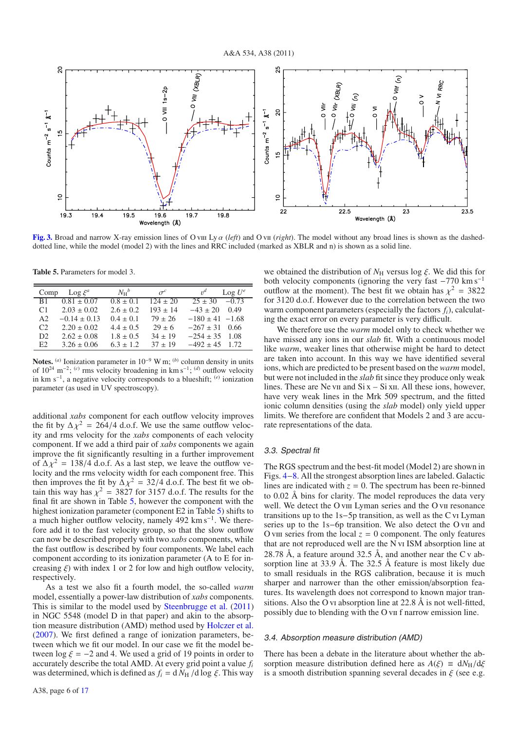

**[Fig. 3.](http://dexter.edpsciences.org/applet.php?DOI=10.1051/0004-6361/201116899&pdf_id=3)** Broad and narrow X-ray emission lines of O vii Ly  $\alpha$  (*left*) and O vii (*right*). The model without any broad lines is shown as the dasheddotted line, while the model (model 2) with the lines and RRC included (marked as XBLR and n) is shown as a solid line.

**Table 5.** Parameters for model 3.

| Comp           | $\text{Log } \xi^a$ | $N_{\rm H}{}^b$ | $\sigma^c$   | $v^d$<br>$\text{Log } U^e$ |
|----------------|---------------------|-----------------|--------------|----------------------------|
| <b>B1</b>      | $0.81 \pm 0.07$     | $0.8 \pm 0.1$   | $124 \pm 20$ | $25 \pm 30$<br>$-0.73$     |
| C <sub>1</sub> | $2.03 \pm 0.02$     | $2.6 + 0.2$     | $193 \pm 14$ | $-43 \pm 20$<br>0.49       |
| A2             | $-0.14 \pm 0.13$    | $0.4 \pm 0.1$   | $79 \pm 26$  | $-180 \pm 41 - 1.68$       |
| C2             | $2.20 \pm 0.02$     | $4.4 \pm 0.5$   | $29 \pm 6$   | $-267 \pm 31$ 0.66         |
| D2.            | $2.62 \pm 0.08$     | $1.8 \pm 0.5$   | $34 \pm 19$  | $-254 \pm 35$ 1.08         |
| E2             | $3.26 \pm 0.06$     | $6.3 + 1.2$     | $37 \pm 19$  | $-492 \pm 45$ 1.72         |

**Notes.** (*a*) Ionization parameter in  $10^{-9}$  W m; (*b*) column density in units of 1024 m−2; (*c*) rms velocity broadening in km s−1; (*d*) outflow velocity in km s−1, a negative velocity corresponds to a blueshift; (*e*) ionization parameter (as used in UV spectroscopy).

additional *xabs* component for each outflow velocity improves the fit by  $\Delta \chi^2 = 264/4$  d.o.f. We use the same outflow velocity and rms velocity for the *xabs* components of each velocity component. If we add a third pair of *xabs* components we again improve the fit significantly resulting in a further improvement of  $\Delta \chi^2 = 138/4$  d.o.f. As a last step, we leave the outflow velocity and the rms velocity width for each component free. This then improves the fit by  $\Delta \chi^2 = 32/4$  d.o.f. The best fit we obtain this way has  $\chi^2 = 3827$  for 3157 d.o.f. The results for the final fit are shown in Table 5, however the component with the highest ionization parameter (component E2 in Table 5) shifts to a much higher outflow velocity, namely 492 km s−1. We therefore add it to the fast velocity group, so that the slow outflow can now be described properly with two *xabs* components, while the fast outflow is described by four components. We label each component according to its ionization parameter (A to E for increasing  $\xi$ ) with index 1 or 2 for low and high outflow velocity, respectively.

As a test we also fit a fourth model, the so-called *warm* model, essentially a power-law distribution of *xabs* components. This is similar to the model used by Steenbrugge et al. (2011) in NGC 5548 (model D in that paper) and akin to the absorption measure distribution (AMD) method used by Holczer et al. (2007). We first defined a range of ionization parameters, between which we fit our model. In our case we fit the model between  $\log \xi = -2$  and 4. We used a grid of 19 points in order to accurately describe the total AMD. At every grid point a value *fi* was determined, which is defined as  $f_i = d N_H / d \log \xi$ . This way we obtained the distribution of  $N_H$  versus log  $\xi$ . We did this for both velocity components (ignoring the very fast  $-770 \text{ km s}^{-1}$ outflow at the moment). The best fit we obtain has  $\chi^2 = 3822$ for 3120 d.o.f. However due to the correlation between the two warm component parameters (especially the factors  $f_i$ ), calculating the exact error on every parameter is very difficult.

We therefore use the *warm* model only to check whether we have missed any ions in our *slab* fit. With a continuous model like *warm*, weaker lines that otherwise might be hard to detect are taken into account. In this way we have identified several ions, which are predicted to be present based on the *warm* model, but were not included in the *slab* fit since they produce only weak lines. These are Ne v<sub>II</sub> and Si  $x - Si$  x<sub>II</sub>. All these ions, however, have very weak lines in the Mrk 509 spectrum, and the fitted ionic column densities (using the *slab* model) only yield upper limits. We therefore are confident that Models 2 and 3 are accurate representations of the data.

#### 3.3. Spectral fit

The RGS spectrum and the best-fit model (Model 2) are shown in Figs. 4−8. All the strongest absorption lines are labeled. Galactic lines are indicated with  $z = 0$ . The spectrum has been re-binned to 0.02 Å bins for clarity. The model reproduces the data very well. We detect the O viii Lyman series and the O vii resonance transitions up to the 1s−5p transition, as well as the Cvi Lyman series up to the 1s−6p transition. We also detect the O vii and O viii series from the local  $z = 0$  component. The only features that are not reproduced well are the N vi ISM absorption line at 28.78 Å, a feature around 32.5 Å, and another near the C v absorption line at 33.9 Å. The 32.5 Å feature is most likely due to small residuals in the RGS calibration, because it is much sharper and narrower than the other emission/absorption features. Its wavelength does not correspond to known major transitions. Also the O vi absorption line at 22.8 Å is not well-fitted, possibly due to blending with the O vii f narrow emission line.

#### 3.4. Absorption measure distribution (AMD)

There has been a debate in the literature about whether the absorption measure distribution defined here as  $A(\xi) \equiv dN_H/d\xi$ is a smooth distribution spanning several decades in  $\xi$  (see e.g.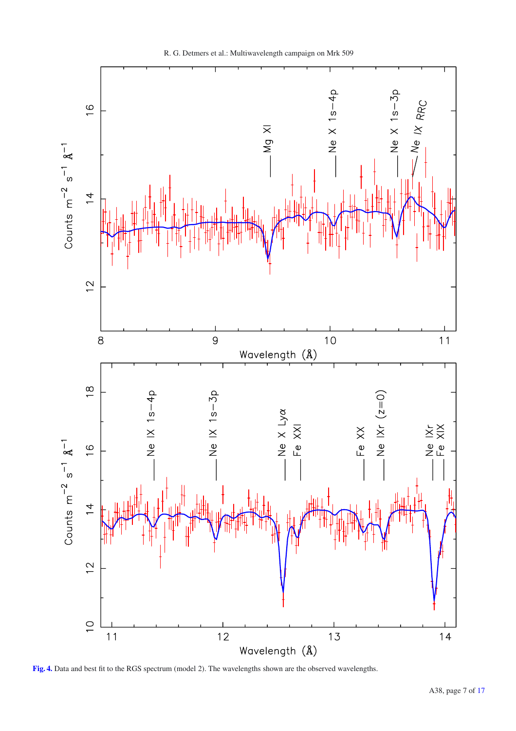

R. G. Detmers et al.: Multiwavelength campaign on Mrk 509

**[Fig. 4.](http://dexter.edpsciences.org/applet.php?DOI=10.1051/0004-6361/201116899&pdf_id=4)** Data and best fit to the RGS spectrum (model 2). The wavelengths shown are the observed wavelengths.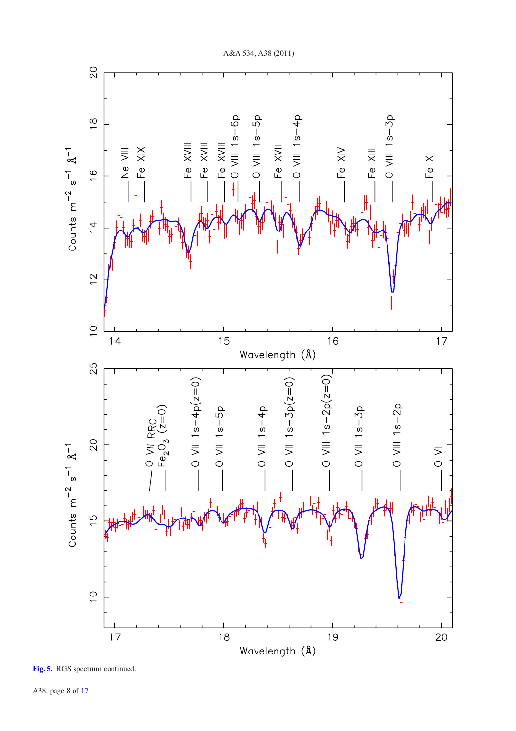

**[Fig. 5.](http://dexter.edpsciences.org/applet.php?DOI=10.1051/0004-6361/201116899&pdf_id=5)** RGS spectrum continued.

A38, page 8 of 17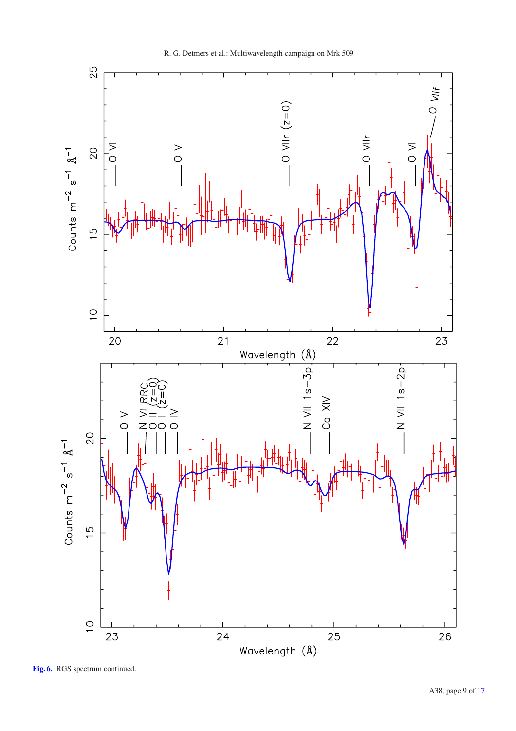

**[Fig. 6.](http://dexter.edpsciences.org/applet.php?DOI=10.1051/0004-6361/201116899&pdf_id=6)** RGS spectrum continued.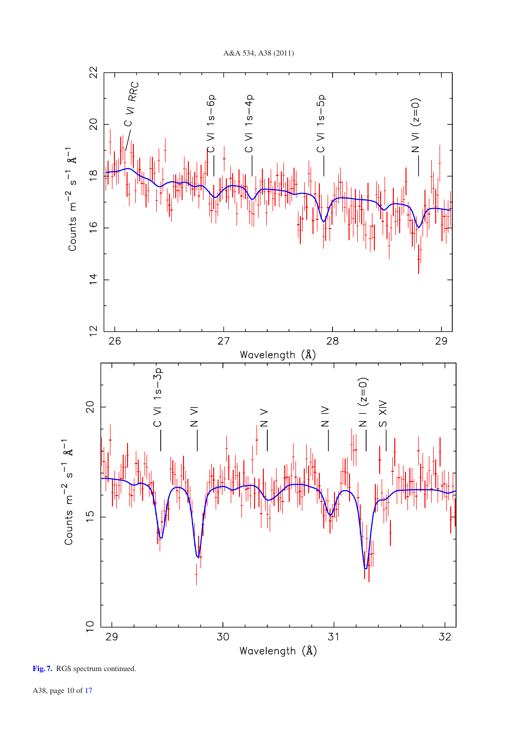



A38, page 10 of 17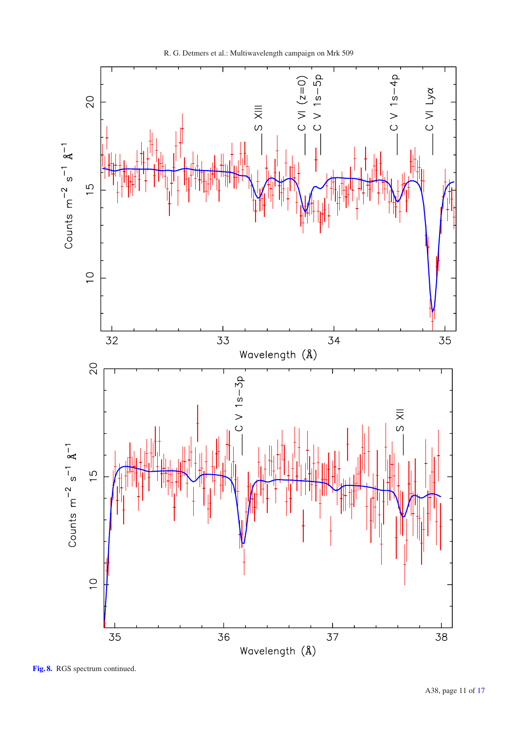

R. G. Detmers et al.: Multiwavelength campaign on Mrk 509

**[Fig. 8.](http://dexter.edpsciences.org/applet.php?DOI=10.1051/0004-6361/201116899&pdf_id=8)** RGS spectrum continued.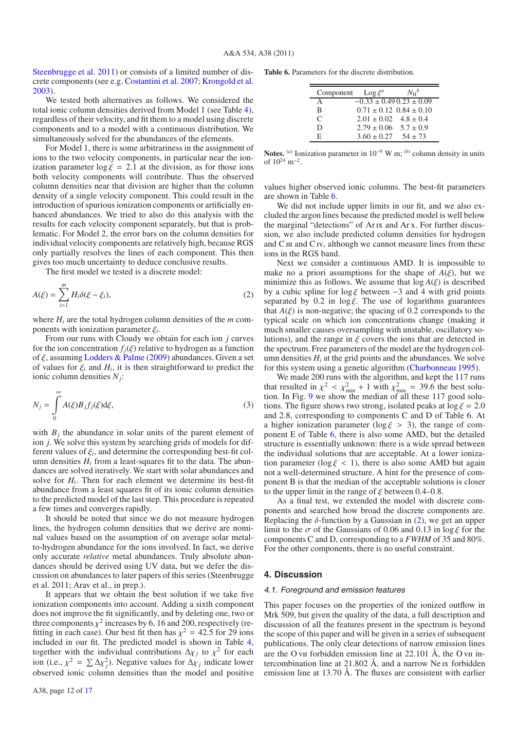Steenbrugge et al. 2011) or consists of a limited number of discrete components (see e.g. Costantini et al. 2007; Krongold et al. 2003).

We tested both alternatives as follows. We considered the total ionic column densities derived from Model 1 (see Table 4), regardless of their velocity, and fit them to a model using discrete components and to a model with a continuous distribution. We simultaneously solved for the abundances of the elements.

For Model 1, there is some arbitrariness in the assignment of ions to the two velocity components, in particular near the ionization parameter  $\log \xi = 2.1$  at the division, as for those ions both velocity components will contribute. Thus the observed column densities near that division are higher than the column density of a single velocity component. This could result in the introduction of spurious ionization components or artificially enhanced abundances. We tried to also do this analysis with the results for each velocity component separately, but that is problematic. For Model 2, the error bars on the column densities for individual velocity components are relatively high, because RGS only partially resolves the lines of each component. This then gives too much uncertainty to deduce conclusive results.

The first model we tested is a discrete model:

$$
A(\xi) = \sum_{i=1}^{m} H_i \delta(\xi - \xi_i),
$$
 (2)

where  $H_i$  are the total hydrogen column densities of the  $m$  components with ionization parameter ξ*<sup>i</sup>*.

From our runs with Cloudy we obtain for each ion *j* curves for the ion concentration  $f_i(\xi)$  relative to hydrogen as a function of  $\xi$ , assuming Lodders & Palme (2009) abundances. Given a set of values for  $\xi$ <sub>*i*</sub> and  $H$ <sub>*i*</sub>, it is then straightforward to predict the ionic column densities *Nj*:

$$
N_j = \int_0^\infty A(\xi) B_j f_j(\xi) d\xi,
$$
\n(3)

with  $B_i$  the abundance in solar units of the parent element of ion *j*. We solve this system by searching grids of models for different values of  $\xi_i$ , and determine the corresponding best-fit column densities  $H_i$  from a least-squares fit to the data. The abundances are solved iteratively. We start with solar abundances and solve for *Hi*. Then for each element we determine its best-fit abundance from a least squares fit of its ionic column densities to the predicted model of the last step. This procedure is repeated a few times and converges rapidly.

It should be noted that since we do not measure hydrogen lines, the hydrogen column densities that we derive are nominal values based on the assumption of on average solar metalto-hydrogen abundance for the ions involved. In fact, we derive only accurate *relative* metal abundances. Truly absolute abundances should be derived using UV data, but we defer the discussion on abundances to later papers of this series (Steenbrugge et al. 2011; Arav et al., in prep.).

It appears that we obtain the best solution if we take five ionization components into account. Adding a sixth component does not improve the fit significantly, and by deleting one, two or three components  $\chi^2$  increases by 6, 16 and 200, respectively (refitting in each case). Our best fit then has  $\chi^2 = 42.5$  for 29 ions included in our fit. The predicted model is shown in Table 4, together with the individual contributions  $\Delta \chi_j$  to  $\chi^2$  for each ion (i.e.,  $\chi^2 = \sum \Delta \chi^2$ ). Negative values for  $\Delta \chi_j$  indicate lower<br>observed ionic column densities than the model and positive observed ionic column densities than the model and positive **Table 6.** Parameters for the discrete distribution.

| Component     | $\text{Log} \xi^a$               | $N_{\rm H}{}^b$                 |
|---------------|----------------------------------|---------------------------------|
| A             | $-0.33 \pm 0.49$ 0.23 $\pm$ 0.09 |                                 |
| B             |                                  | $0.71 \pm 0.12$ $0.84 \pm 0.10$ |
| $\mathcal{C}$ | $2.01 \pm 0.02$ $4.8 \pm 0.4$    |                                 |
| D             | $2.79 \pm 0.06$ $5.7 \pm 0.9$    |                                 |
| F.            | $3.60 \pm 0.27$                  | $54 + 73$                       |

**Notes.** (*a*) Ionization parameter in 10−<sup>9</sup> W m; (*b*) column density in units of  $10^{24}$  m<sup>-2</sup>.

values higher observed ionic columns. The best-fit parameters are shown in Table 6.

We did not include upper limits in our fit, and we also excluded the argon lines because the predicted model is well below the marginal "detections" of Arix and Arx. For further discussion, we also include predicted column densities for hydrogen and  $C_{III}$  and  $C_{IV}$ , although we cannot measure lines from these ions in the RGS band.

Next we consider a continuous AMD. It is impossible to make no a priori assumptions for the shape of  $A(\xi)$ , but we minimize this as follows. We assume that  $log A(\xi)$  is described by a cubic spline for  $\log \xi$  between -3 and 4 with grid points separated by 0.2 in  $\log \xi$ . The use of logarithms guarantees that  $A(\xi)$  is non-negative; the spacing of 0.2 corresponds to the typical scale on which ion concentrations change (making it much smaller causes oversampling with unstable, oscillatory solutions), and the range in  $\xi$  covers the ions that are detected in the spectrum. Free parameters of the model are the hydrogen column densities  $H_i$  at the grid points and the abundances. We solve for this system using a genetic algorithm (Charbonneau 1995).

We made 200 runs with the algorithm, and kept the 117 runs that resulted in  $\chi^2 < \chi^2_{\text{min}} + 1$  with  $\chi^2_{\text{min}} = 39.6$  the best solution. In Fig. 9 we show the median of all these 117 good solutions. The figure shows two strong, isolated peaks at  $\log \xi = 2.0$ and 2.8, corresponding to components C and D of Table 6. At a higher ionization parameter ( $\log \xi > 3$ ), the range of component E of Table 6, there is also some AMD, but the detailed structure is essentially unknown: there is a wide spread between the individual solutions that are acceptable. At a lower ionization parameter ( $\log \xi$  < 1), there is also some AMD but again not a well-determined structure. A hint for the presence of component B is that the median of the acceptable solutions is closer to the upper limit in the range of  $\xi$  between 0.4–0.8.

As a final test, we extended the model with discrete components and searched how broad the discrete components are. Replacing the  $\delta$ -function by a Gaussian in (2), we get an upper limit to the  $\sigma$  of the Gaussians of 0.06 and 0.13 in log  $\xi$  for the components C and D, corresponding to a *FWHM* of 35 and 80%. For the other components, there is no useful constraint.

#### **4. Discussion**

#### 4.1. Foreground and emission features

This paper focuses on the properties of the ionized outflow in Mrk 509, but given the quality of the data, a full description and discussion of all the features present in the spectrum is beyond the scope of this paper and will be given in a series of subsequent publications. The only clear detections of narrow emission lines are the O vii forbidden emission line at  $22.101$  Å, the O vii intercombination line at 21.802 Å, and a narrow Ne ix forbidden emission line at 13.70 Å. The fluxes are consistent with earlier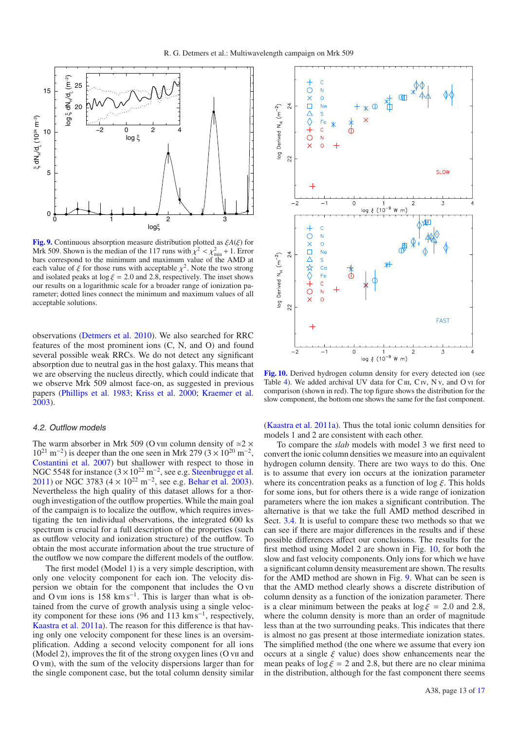

**[Fig. 9.](http://dexter.edpsciences.org/applet.php?DOI=10.1051/0004-6361/201116899&pdf_id=9)** Continuous absorption measure distribution plotted as ξ*A*(ξ) for Mrk 509. Shown is the median of the 117 runs with  $\chi^2 < \chi^2_{\text{min}} + 1$ . Error<br>hars correspond to the minimum and maximum value of the AMD at bars correspond to the minimum and maximum value of the AMD at each value of  $\xi$  for those runs with acceptable  $\chi^2$ . Note the two strong and isolated peaks at  $\log \xi = 2.0$  and 2.8, respectively. The inset shows our results on a logarithmic scale for a broader range of ionization parameter; dotted lines connect the minimum and maximum values of all acceptable solutions.

observations (Detmers et al. 2010). We also searched for RRC features of the most prominent ions (C, N, and O) and found several possible weak RRCs. We do not detect any significant absorption due to neutral gas in the host galaxy. This means that we are observing the nucleus directly, which could indicate that we observe Mrk 509 almost face-on, as suggested in previous papers (Phillips et al. 1983; Kriss et al. 2000; Kraemer et al. 2003).

#### 4.2. Outflow models

The warm absorber in Mrk 509 (O viii column density of  $\approx$  2  $\times$  $10^{21}$  m<sup>-2</sup>) is deeper than the one seen in Mrk 279 (3 × 10<sup>20</sup> m<sup>-2</sup>, Costantini et al. 2007) but shallower with respect to those in NGC 5548 for instance  $(3 \times 10^{22} \text{ m}^{-2})$ , see e.g. Steenbrugge et al. 2011) or NGC 3783 (4 × 10<sup>22</sup> m<sup>-2</sup>, see e.g. Behar et al. 2003). Nevertheless the high quality of this dataset allows for a thorough investigation of the outflow properties. While the main goal of the campaign is to localize the outflow, which requires investigating the ten individual observations, the integrated 600 ks spectrum is crucial for a full description of the properties (such as outflow velocity and ionization structure) of the outflow. To obtain the most accurate information about the true structure of the outflow we now compare the different models of the outflow.

The first model (Model 1) is a very simple description, with only one velocity component for each ion. The velocity dispersion we obtain for the component that includes the O vii and O viii ions is 158 km s<sup>-1</sup>. This is larger than what is obtained from the curve of growth analysis using a single velocity component for these ions (96 and 113 km s<sup>-1</sup>, respectively, Kaastra et al. 2011a). The reason for this difference is that having only one velocity component for these lines is an oversimplification. Adding a second velocity component for all ions (Model 2), improves the fit of the strong oxygen lines (O vii and O viii), with the sum of the velocity dispersions larger than for the single component case, but the total column density similar



**[Fig. 10.](http://dexter.edpsciences.org/applet.php?DOI=10.1051/0004-6361/201116899&pdf_id=10)** Derived hydrogen column density for every detected ion (see Table 4). We added archival UV data for  $C \text{III}$ ,  $C \text{IV}$ ,  $N \text{V}$ , and  $O \text{VI}$  for comparison (shown in red). The top figure shows the distribution for the slow component, the bottom one shows the same for the fast component.

(Kaastra et al. 2011a). Thus the total ionic column densities for models 1 and 2 are consistent with each other.

To compare the *slab* models with model 3 we first need to convert the ionic column densities we measure into an equivalent hydrogen column density. There are two ways to do this. One is to assume that every ion occurs at the ionization parameter where its concentration peaks as a function of  $\log \xi$ . This holds for some ions, but for others there is a wide range of ionization parameters where the ion makes a significant contribution. The alternative is that we take the full AMD method described in Sect. 3.4. It is useful to compare these two methods so that we can see if there are major differences in the results and if these possible differences affect our conclusions. The results for the first method using Model 2 are shown in Fig. 10, for both the slow and fast velocity components. Only ions for which we have a significant column density measurement are shown. The results for the AMD method are shown in Fig. 9. What can be seen is that the AMD method clearly shows a discrete distribution of column density as a function of the ionization parameter. There is a clear minimum between the peaks at  $\log \xi = 2.0$  and 2.8, where the column density is more than an order of magnitude less than at the two surrounding peaks. This indicates that there is almost no gas present at those intermediate ionization states. The simplified method (the one where we assume that every ion occurs at a single  $\xi$  value) does show enhancements near the mean peaks of  $\log \xi = 2$  and 2.8, but there are no clear minima in the distribution, although for the fast component there seems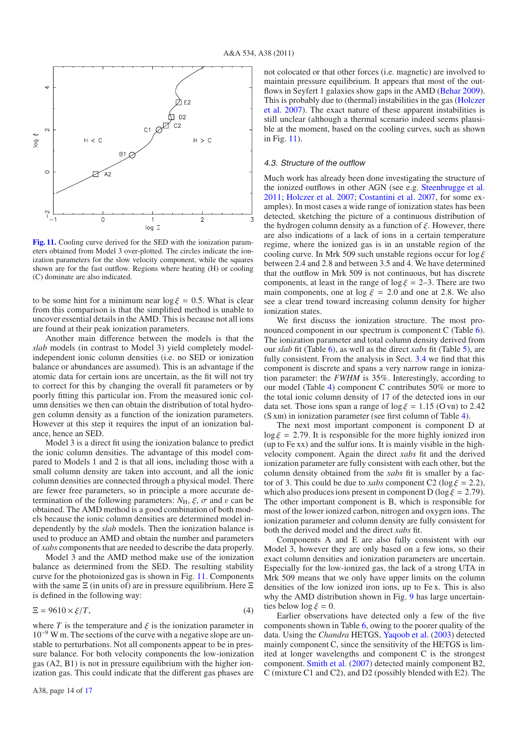

**[Fig. 11.](http://dexter.edpsciences.org/applet.php?DOI=10.1051/0004-6361/201116899&pdf_id=11)** Cooling curve derived for the SED with the ionization parameters obtained from Model 3 over-plotted. The circles indicate the ionization parameters for the slow velocity component, while the squares shown are for the fast outflow. Regions where heating (H) or cooling (C) dominate are also indicated.

to be some hint for a minimum near  $\log \xi = 0.5$ . What is clear from this comparison is that the simplified method is unable to uncover essential details in the AMD. This is because not all ions are found at their peak ionization parameters.

Another main difference between the models is that the *slab* models (in contrast to Model 3) yield completely modelindependent ionic column densities (i.e. no SED or ionization balance or abundances are assumed). This is an advantage if the atomic data for certain ions are uncertain, as the fit will not try to correct for this by changing the overall fit parameters or by poorly fitting this particular ion. From the measured ionic column densities we then can obtain the distribution of total hydrogen column density as a function of the ionization parameters. However at this step it requires the input of an ionization balance, hence an SED.

Model 3 is a direct fit using the ionization balance to predict the ionic column densities. The advantage of this model compared to Models 1 and 2 is that all ions, including those with a small column density are taken into account, and all the ionic column densities are connected through a physical model. There are fewer free parameters, so in principle a more accurate determination of the following parameters:  $N_{\rm H}$ ,  $\xi$ ,  $\sigma$  and v can be obtained. The AMD method is a good combination of both models because the ionic column densities are determined model independently by the *slab* models. Then the ionization balance is used to produce an AMD and obtain the number and parameters of *xabs* components that are needed to describe the data properly.

Model 3 and the AMD method make use of the ionization balance as determined from the SED. The resulting stability curve for the photoionized gas is shown in Fig. 11. Components with the same  $E$  (in units of) are in pressure equilibrium. Here  $E$ is defined in the following way:

$$
\Xi = 9610 \times \xi/T,\tag{4}
$$

where *T* is the temperature and  $\xi$  is the ionization parameter in  $10^{-9}$  W m. The sections of the curve with a negative slope are unstable to perturbations. Not all components appear to be in pressure balance. For both velocity components the low-ionization gas (A2, B1) is not in pressure equilibrium with the higher ionization gas. This could indicate that the different gas phases are

#### 4.3. Structure of the outflow

Much work has already been done investigating the structure of the ionized outflows in other AGN (see e.g. Steenbrugge et al. 2011; Holczer et al. 2007; Costantini et al. 2007, for some examples). In most cases a wide range of ionization states has been detected, sketching the picture of a continuous distribution of the hydrogen column density as a function of  $\xi$ . However, there are also indications of a lack of ions in a certain temperature regime, where the ionized gas is in an unstable region of the cooling curve. In Mrk 509 such unstable regions occur for  $\log \xi$ between 2.4 and 2.8 and between 3.5 and 4. We have determined that the outflow in Mrk 509 is not continuous, but has discrete components, at least in the range of  $\log \xi = 2-3$ . There are two main components, one at log  $\xi = 2.0$  and one at 2.8. We also see a clear trend toward increasing column density for higher ionization states.

We first discuss the ionization structure. The most pronounced component in our spectrum is component C (Table 6). The ionization parameter and total column density derived from our *slab* fit (Table 6), as well as the direct *xabs* fit (Table 5), are fully consistent. From the analysis in Sect. 3.4 we find that this component is discrete and spans a very narrow range in ionization parameter: the *FWHM* is 35%. Interestingly, according to our model (Table 4) component C contributes 50% or more to the total ionic column density of 17 of the detected ions in our data set. Those ions span a range of  $\log \xi = 1.15$  (O vii) to 2.42 (S xIII) in ionization parameter (see first column of Table 4).

The next most important component is component D at  $\log \xi = 2.79$ . It is responsible for the more highly ionized iron (up to Fe xx) and the sulfur ions. It is mainly visible in the highvelocity component. Again the direct *xabs* fit and the derived ionization parameter are fully consistent with each other, but the column density obtained from the *xabs* fit is smaller by a factor of 3. This could be due to *xabs* component C2 ( $\log \xi = 2.2$ ), which also produces ions present in component D (log  $\xi = 2.79$ ). The other important component is B, which is responsible for most of the lower ionized carbon, nitrogen and oxygen ions. The ionization parameter and column density are fully consistent for both the derived model and the direct *xabs* fit.

Components A and E are also fully consistent with our Model 3, however they are only based on a few ions, so their exact column densities and ionization parameters are uncertain. Especially for the low-ionized gas, the lack of a strong UTA in Mrk 509 means that we only have upper limits on the column densities of the low ionized iron ions, up to Fe x. This is also why the AMD distribution shown in Fig. 9 has large uncertainties below  $\log \xi = 0$ .

Earlier observations have detected only a few of the five components shown in Table 6, owing to the poorer quality of the data. Using the *Chandra* HETGS, Yaqoob et al. (2003) detected mainly component C, since the sensitivity of the HETGS is limited at longer wavelengths and component C is the strongest component. Smith et al. (2007) detected mainly component B2, C (mixture C1 and C2), and D2 (possibly blended with E2). The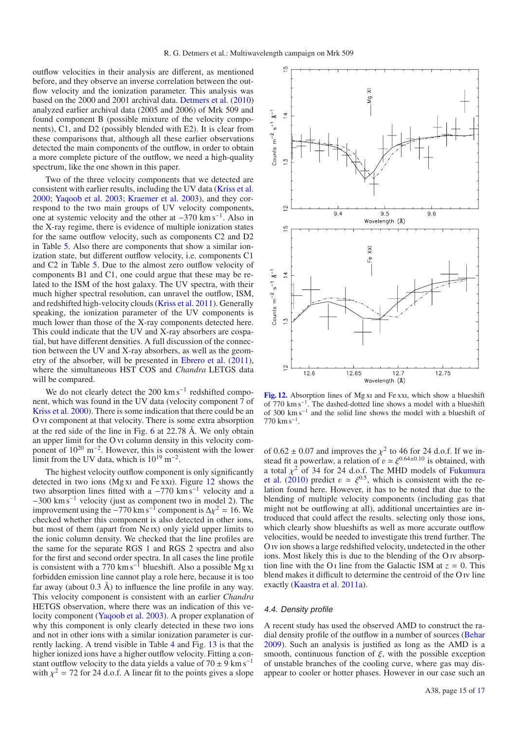outflow velocities in their analysis are different, as mentioned before, and they observe an inverse correlation between the outflow velocity and the ionization parameter. This analysis was based on the 2000 and 2001 archival data. Detmers et al. (2010) analyzed earlier archival data (2005 and 2006) of Mrk 509 and found component B (possible mixture of the velocity components), C1, and D2 (possibly blended with E2). It is clear from these comparisons that, although all these earlier observations detected the main components of the outflow, in order to obtain a more complete picture of the outflow, we need a high-quality spectrum, like the one shown in this paper.

Two of the three velocity components that we detected are consistent with earlier results, including the UV data (Kriss et al. 2000; Yaqoob et al. 2003; Kraemer et al. 2003), and they correspond to the two main groups of UV velocity components, one at systemic velocity and the other at −370 km s−1. Also in the X-ray regime, there is evidence of multiple ionization states for the same outflow velocity, such as components C2 and D2 in Table 5. Also there are components that show a similar ionization state, but different outflow velocity, i.e. components C1 and C2 in Table 5. Due to the almost zero outflow velocity of components B1 and C1, one could argue that these may be related to the ISM of the host galaxy. The UV spectra, with their much higher spectral resolution, can unravel the outflow, ISM, and redshifted high-velocity clouds (Kriss et al. 2011). Generally speaking, the ionization parameter of the UV components is much lower than those of the X-ray components detected here. This could indicate that the UV and X-ray absorbers are cospatial, but have different densities. A full discussion of the connection between the UV and X-ray absorbers, as well as the geometry of the absorber, will be presented in Ebrero et al. (2011), where the simultaneous HST COS and *Chandra* LETGS data will be compared.

We do not clearly detect the 200 km s<sup> $-1$ </sup> redshifted component, which was found in the UV data (velocity component 7 of Kriss et al. 2000). There is some indication that there could be an O vi component at that velocity. There is some extra absorption at the red side of the line in Fig. 6 at 22.78 Å. We only obtain an upper limit for the O vi column density in this velocity component of  $10^{20}$  m<sup>-2</sup>. However, this is consistent with the lower limit from the UV data, which is  $10^{19}$  m<sup>-2</sup>.

The highest velocity outflow component is only significantly detected in two ions (Mg xi and Fe xxi). Figure 12 shows the two absorption lines fitted with a  $-770 \text{ km s}^{-1}$  velocity and a  $-300 \text{ km s}^{-1}$  velocity (just as component two in model 2). The improvement using the −770 km s<sup>-1</sup> component is  $\Delta \chi^2 = 16$ . We checked whether this component is also detected in other ions checked whether this component is also detected in other ions, but most of them (apart from Ne Ix) only yield upper limits to the ionic column density. We checked that the line profiles are the same for the separate RGS 1 and RGS 2 spectra and also for the first and second order spectra. In all cases the line profile is consistent with a 770 km s<sup>-1</sup> blueshift. Also a possible Mg x<sub>I</sub> forbidden emission line cannot play a role here, because it is too far away (about  $0.3 \text{ Å}$ ) to influence the line profile in any way. This velocity component is consistent with an earlier *Chandra* HETGS observation, where there was an indication of this velocity component (Yaqoob et al. 2003). A proper explanation of why this component is only clearly detected in these two ions and not in other ions with a similar ionization parameter is currently lacking. A trend visible in Table 4 and Fig. 13 is that the higher ionized ions have a higher outflow velocity. Fitting a constant outflow velocity to the data yields a value of  $70 \pm 9$  km s<sup>-1</sup> with  $\chi^2$  = 72 for 24 d.o.f. A linear fit to the points gives a slope



**[Fig. 12.](http://dexter.edpsciences.org/applet.php?DOI=10.1051/0004-6361/201116899&pdf_id=12)** Absorption lines of Mg xi and Fe xxi, which show a blueshift of 770 km s−1. The dashed-dotted line shows a model with a blueshift of 300 km s−<sup>1</sup> and the solid line shows the model with a blueshift of 770 km s−1.

of  $0.62 \pm 0.07$  and improves the  $\chi^2$  to 46 for 24 d.o.f. If we instead fit a nowerlaw a relation of  $v \approx \xi^{0.64 \pm 0.10}$  is obtained with stead fit a powerlaw, a relation of  $v \approx \xi^{0.64\pm0.10}$  is obtained, with a total  $v^2$  of 34 for 24 d o f. The MHD models of Fukumura a total  $\chi^2$  of 34 for 24 d.o.f. The MHD models of Fukumura<br>et al. (2010) predict  $v \approx \xi^{0.5}$  which is consistent with the reet al. (2010) predict  $v \approx \xi^{0.5}$ , which is consistent with the re-<br>lation found here. However, it has to be noted that due to the lation found here. However, it has to be noted that due to the blending of multiple velocity components (including gas that might not be outflowing at all), additional uncertainties are introduced that could affect the results. selecting only those ions, which clearly show blueshifts as well as more accurate outflow velocities, would be needed to investigate this trend further. The O iv ion shows a large redshifted velocity, undetected in the other ions. Most likely this is due to the blending of the O iv absorption line with the O<sub>I</sub> line from the Galactic ISM at  $z = 0$ . This blend makes it difficult to determine the centroid of the O iv line exactly (Kaastra et al. 2011a).

#### 4.4. Density profile

A recent study has used the observed AMD to construct the radial density profile of the outflow in a number of sources (Behar 2009). Such an analysis is justified as long as the AMD is a smooth, continuous function of  $\xi$ , with the possible exception of unstable branches of the cooling curve, where gas may disappear to cooler or hotter phases. However in our case such an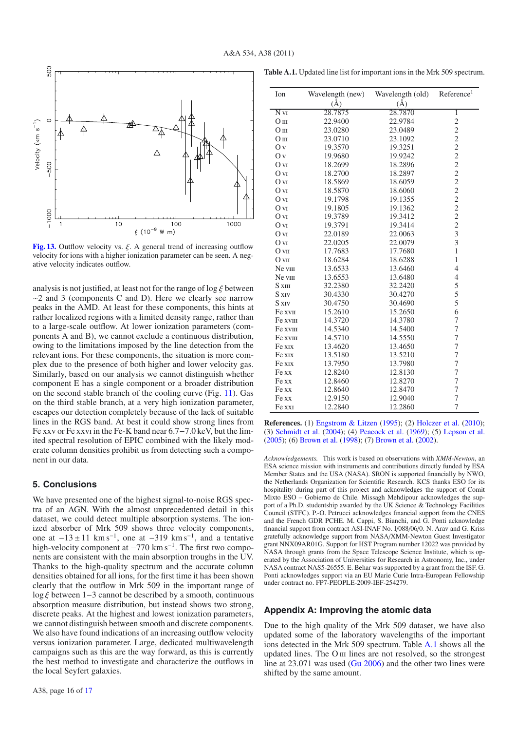

**[Fig. 13.](http://dexter.edpsciences.org/applet.php?DOI=10.1051/0004-6361/201116899&pdf_id=13)** Outflow velocity vs.  $\xi$ . A general trend of increasing outflow velocity for ions with a higher ionization parameter can be seen. A negative velocity indicates outflow.

analysis is not justified, at least not for the range of  $\log \xi$  between ∼2 and 3 (components C and D). Here we clearly see narrow peaks in the AMD. At least for these components, this hints at rather localized regions with a limited density range, rather than to a large-scale outflow. At lower ionization parameters (components A and B), we cannot exclude a continuous distribution, owing to the limitations imposed by the line detection from the relevant ions. For these components, the situation is more complex due to the presence of both higher and lower velocity gas. Similarly, based on our analysis we cannot distinguish whether component E has a single component or a broader distribution on the second stable branch of the cooling curve (Fig. 11). Gas on the third stable branch, at a very high ionization parameter, escapes our detection completely because of the lack of suitable lines in the RGS band. At best it could show strong lines from Fe xxv or Fe xxvi in the Fe-K band near 6.7−7.0 keV, but the limited spectral resolution of EPIC combined with the likely moderate column densities prohibit us from detecting such a component in our data.

#### **5. Conclusions**

We have presented one of the highest signal-to-noise RGS spectra of an AGN. With the almost unprecedented detail in this dataset, we could detect multiple absorption systems. The ionized absorber of Mrk 509 shows three velocity components, one at  $-13 \pm 11$  km s<sup>-1</sup>, one at  $-319$  km s<sup>-1</sup>, and a tentative high-velocity component at  $-770 \text{ km s}^{-1}$ . The first two components are consistent with the main absorption troughs in the UV. Thanks to the high-quality spectrum and the accurate column densities obtained for all ions, for the first time it has been shown clearly that the outflow in Mrk 509 in the important range of log ξ between 1−3 cannot be described by a smooth, continuous absorption measure distribution, but instead shows two strong, discrete peaks. At the highest and lowest ionization parameters, we cannot distinguish between smooth and discrete components. We also have found indications of an increasing outflow velocity versus ionization parameter. Large, dedicated multiwavelength campaigns such as this are the way forward, as this is currently the best method to investigate and characterize the outflows in the local Seyfert galaxies.

| <b>Table A.1.</b> Updated line list for important ions in the Mrk 509 spectrum. |  |  |
|---------------------------------------------------------------------------------|--|--|
|---------------------------------------------------------------------------------|--|--|

| Ion              | Wavelength (new) | Wavelength (old) | Reference <sup>1</sup> |
|------------------|------------------|------------------|------------------------|
|                  | $\rm(\AA)$       | $(\AA)$          |                        |
| N <sub>vi</sub>  | 28.7875          | 28.7870          | ī                      |
| O <sub>III</sub> | 22.9400          | 22.9784          |                        |
| O <sub>III</sub> | 23.0280          | 23.0489          | $\frac{2}{2}$          |
| O <sub>III</sub> | 23.0710          | 23.1092          |                        |
| O <sub>V</sub>   | 19.3570          | 19.3251          | $2222$<br>$222$        |
| O v              | 19.9680          | 19.9242          |                        |
| O vi             | 18.2699          | 18.2896          |                        |
| O <sub>VI</sub>  | 18.2700          | 18.2897          |                        |
| O <sub>VI</sub>  | 18.5869          | 18.6059          |                        |
| O <sub>VI</sub>  | 18.5870          | 18.6060          |                        |
| O vI             | 19.1798          | 19.1355          | $\overline{c}$         |
| O vi             | 19.1805          | 19.1362          | $\overline{c}$         |
| O vi             | 19.3789          | 19.3412          | $\overline{c}$         |
| O vi             | 19.3791          | 19.3414          | $\frac{2}{3}$          |
| O vi             | 22.0189          | 22.0063          |                        |
| O vi             | 22.0205          | 22.0079          | $\overline{3}$         |
| O <sub>VI</sub>  | 17.7683          | 17.7680          | $\mathbf{1}$           |
| O <sub>VI</sub>  | 18.6284          | 18.6288          | $\mathbf{1}$           |
| Ne vIII          | 13.6533          | 13.6460          | $\overline{4}$         |
| Ne viii          | 13.6553          | 13.6480          | $\overline{4}$         |
| $S \times$ III   | 32.2380          | 32.2420          | 5                      |
| S xiv            | 30.4330          | 30.4270          | 5                      |
| S XIV            | 30.4750          | 30.4690          | 5                      |
| Fe xvII          | 15.2610          | 15.2650          | 6                      |
| Fe xviii         | 14.3720          | 14.3780          | 7                      |
| Fe xvIII         | 14.5340          | 14.5400          | $\overline{7}$         |
| Fe xvIII         | 14.5710          | 14.5550          | $\overline{7}$         |
| Fe xix           | 13.4620          | 13.4650          | $\overline{7}$         |
| Fe xix           | 13.5180          | 13.5210          | $\overline{7}$         |
| Fe xix           | 13.7950          | 13.7980          | 7                      |
| Fe xx            | 12.8240          | 12.8130          | $\overline{7}$         |
| Fe xx            | 12.8460          | 12.8270          | $\overline{7}$         |
| Fe xx            | 12.8640          | 12.8470          | $\overline{7}$         |
| Fe xx            | 12.9150          | 12.9040          | $\overline{7}$         |
| Fe xxi           | 12.2840          | 12.2860          | $\overline{7}$         |

**References.** (1) Engstrom & Litzen (1995); (2) Holczer et al. (2010); (3) Schmidt et al. (2004); (4) Peacock et al. (1969); (5) Lepson et al. (2005); (6) Brown et al. (1998); (7) Brown et al. (2002).

*Acknowledgements.* This work is based on observations with *XMM-Newton*, an ESA science mission with instruments and contributions directly funded by ESA Member States and the USA (NASA). SRON is supported financially by NWO, the Netherlands Organization for Scientific Research. KCS thanks ESO for its hospitality during part of this project and acknowledges the support of Comit Mixto ESO – Gobierno de Chile. Missagh Mehdipour acknowledges the support of a Ph.D. studentship awarded by the UK Science & Technology Facilities Council (STFC). P.-O. Petrucci acknowledges financial support from the CNES and the French GDR PCHE. M. Cappi, S. Bianchi, and G. Ponti acknowledge financial support from contract ASI-INAF No. I/088/06/0. N. Arav and G. Kriss gratefully acknowledge support from NASA/XMM-Newton Guest Investigator grant NNX09AR01G. Support for HST Program number 12022 was provided by NASA through grants from the Space Telescope Science Institute, which is operated by the Association of Universities for Research in Astronomy, Inc., under NASA contract NAS5-26555. E. Behar was supported by a grant from the ISF. G. Ponti acknowledges support via an EU Marie Curie Intra-European Fellowship under contract no. FP7-PEOPLE-2009-IEF-254279.

#### **Appendix A: Improving the atomic data**

Due to the high quality of the Mrk 509 dataset, we have also updated some of the laboratory wavelengths of the important ions detected in the Mrk 509 spectrum. Table A.1 shows all the updated lines. The O iii lines are not resolved, so the strongest line at 23.071 was used (Gu 2006) and the other two lines were shifted by the same amount.